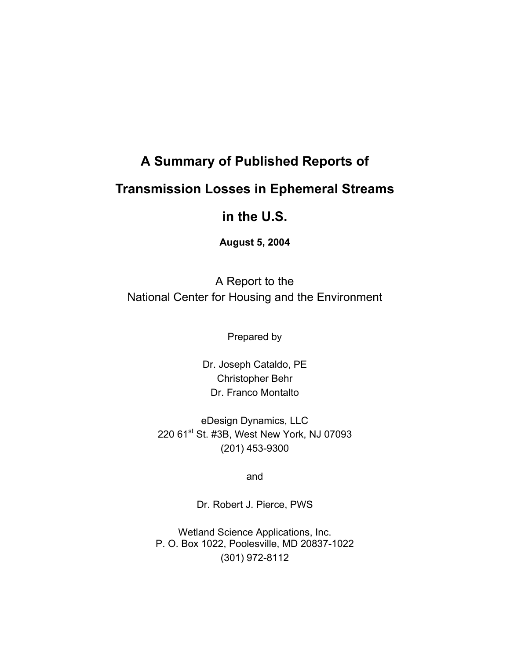# **A Summary of Published Reports of Transmission Losses in Ephemeral Streams**

# **in the U.S.**

**August 5, 2004** 

A Report to the National Center for Housing and the Environment

Prepared by

Dr. Joseph Cataldo, PE Christopher Behr Dr. Franco Montalto

eDesign Dynamics, LLC 220 61<sup>st</sup> St. #3B, West New York, NJ 07093 (201) 453-9300

and

Dr. Robert J. Pierce, PWS

Wetland Science Applications, Inc. P. O. Box 1022, Poolesville, MD 20837-1022 (301) 972-8112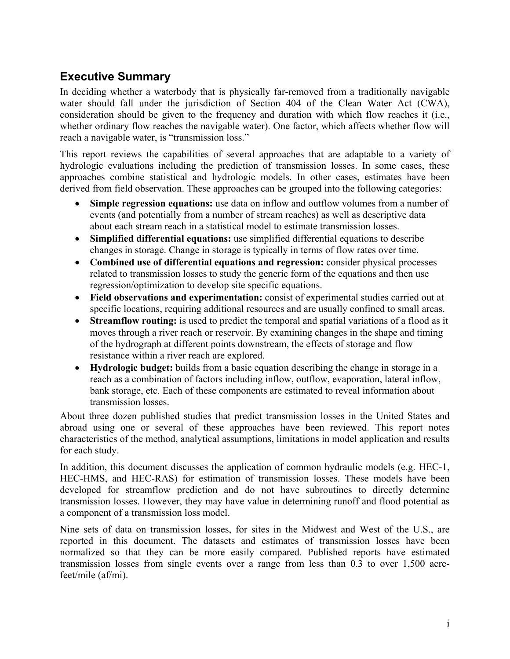# **Executive Summary**

In deciding whether a waterbody that is physically far-removed from a traditionally navigable water should fall under the jurisdiction of Section 404 of the Clean Water Act (CWA), consideration should be given to the frequency and duration with which flow reaches it (i.e., whether ordinary flow reaches the navigable water). One factor, which affects whether flow will reach a navigable water, is "transmission loss."

This report reviews the capabilities of several approaches that are adaptable to a variety of hydrologic evaluations including the prediction of transmission losses. In some cases, these approaches combine statistical and hydrologic models. In other cases, estimates have been derived from field observation. These approaches can be grouped into the following categories:

- **Simple regression equations:** use data on inflow and outflow volumes from a number of events (and potentially from a number of stream reaches) as well as descriptive data about each stream reach in a statistical model to estimate transmission losses.
- **Simplified differential equations:** use simplified differential equations to describe changes in storage. Change in storage is typically in terms of flow rates over time.
- **Combined use of differential equations and regression:** consider physical processes related to transmission losses to study the generic form of the equations and then use regression/optimization to develop site specific equations.
- **Field observations and experimentation:** consist of experimental studies carried out at specific locations, requiring additional resources and are usually confined to small areas.
- **Streamflow routing:** is used to predict the temporal and spatial variations of a flood as it moves through a river reach or reservoir. By examining changes in the shape and timing of the hydrograph at different points downstream, the effects of storage and flow resistance within a river reach are explored.
- **Hydrologic budget:** builds from a basic equation describing the change in storage in a reach as a combination of factors including inflow, outflow, evaporation, lateral inflow, bank storage, etc. Each of these components are estimated to reveal information about transmission losses.

About three dozen published studies that predict transmission losses in the United States and abroad using one or several of these approaches have been reviewed. This report notes characteristics of the method, analytical assumptions, limitations in model application and results for each study.

In addition, this document discusses the application of common hydraulic models (e.g. HEC-1, HEC-HMS, and HEC-RAS) for estimation of transmission losses. These models have been developed for streamflow prediction and do not have subroutines to directly determine transmission losses. However, they may have value in determining runoff and flood potential as a component of a transmission loss model.

Nine sets of data on transmission losses, for sites in the Midwest and West of the U.S., are reported in this document. The datasets and estimates of transmission losses have been normalized so that they can be more easily compared. Published reports have estimated transmission losses from single events over a range from less than 0.3 to over 1,500 acrefeet/mile (af/mi).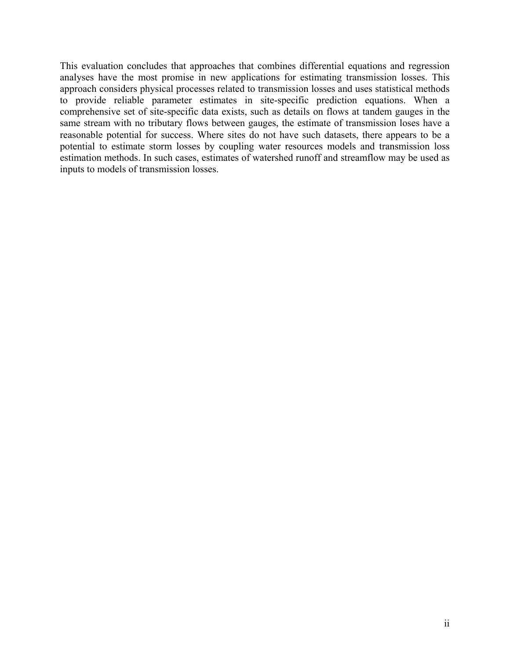This evaluation concludes that approaches that combines differential equations and regression analyses have the most promise in new applications for estimating transmission losses. This approach considers physical processes related to transmission losses and uses statistical methods to provide reliable parameter estimates in site-specific prediction equations. When a comprehensive set of site-specific data exists, such as details on flows at tandem gauges in the same stream with no tributary flows between gauges, the estimate of transmission loses have a reasonable potential for success. Where sites do not have such datasets, there appears to be a potential to estimate storm losses by coupling water resources models and transmission loss estimation methods. In such cases, estimates of watershed runoff and streamflow may be used as inputs to models of transmission losses.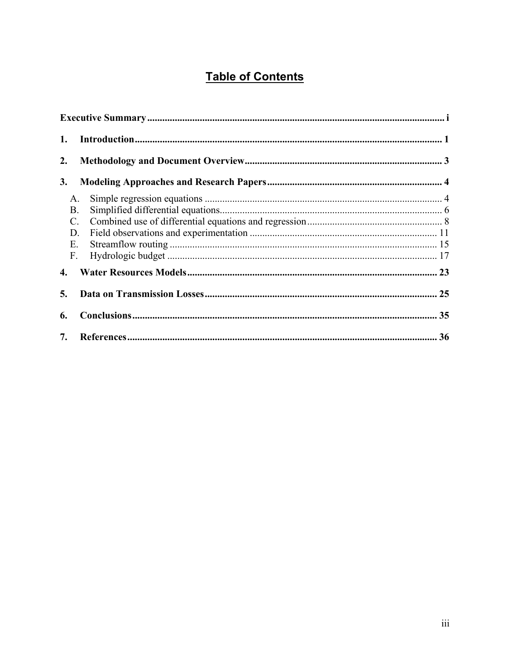# **Table of Contents**

| 1.              |    |  |
|-----------------|----|--|
| 2.              |    |  |
| 3.              |    |  |
|                 | A. |  |
|                 | Β. |  |
| $\mathcal{C}$ . |    |  |
|                 | D. |  |
|                 | Е. |  |
| F.              |    |  |
| $\mathbf{4}$    |    |  |
| 5.              |    |  |
| 6.              |    |  |
| 7.              |    |  |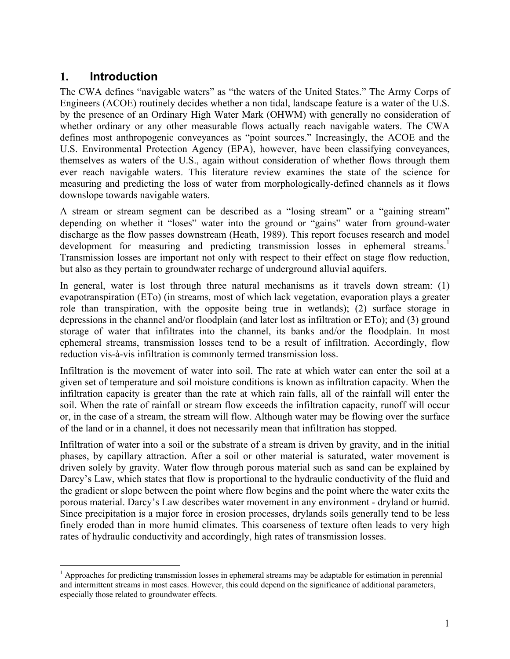### **1. Introduction**

 $\overline{a}$ 

The CWA defines "navigable waters" as "the waters of the United States." The Army Corps of Engineers (ACOE) routinely decides whether a non tidal, landscape feature is a water of the U.S. by the presence of an Ordinary High Water Mark (OHWM) with generally no consideration of whether ordinary or any other measurable flows actually reach navigable waters. The CWA defines most anthropogenic conveyances as "point sources." Increasingly, the ACOE and the U.S. Environmental Protection Agency (EPA), however, have been classifying conveyances, themselves as waters of the U.S., again without consideration of whether flows through them ever reach navigable waters. This literature review examines the state of the science for measuring and predicting the loss of water from morphologically-defined channels as it flows downslope towards navigable waters.

A stream or stream segment can be described as a "losing stream" or a "gaining stream" depending on whether it "loses" water into the ground or "gains" water from ground-water discharge as the flow passes downstream (Heath, 1989). This report focuses research and model development for measuring and predicting transmission losses in ephemeral streams.<sup>1</sup> Transmission losses are important not only with respect to their effect on stage flow reduction, but also as they pertain to groundwater recharge of underground alluvial aquifers.

In general, water is lost through three natural mechanisms as it travels down stream: (1) evapotranspiration (ETo) (in streams, most of which lack vegetation, evaporation plays a greater role than transpiration, with the opposite being true in wetlands); (2) surface storage in depressions in the channel and/or floodplain (and later lost as infiltration or ETo); and (3) ground storage of water that infiltrates into the channel, its banks and/or the floodplain. In most ephemeral streams, transmission losses tend to be a result of infiltration. Accordingly, flow reduction vis-à-vis infiltration is commonly termed transmission loss.

Infiltration is the movement of water into soil. The rate at which water can enter the soil at a given set of temperature and soil moisture conditions is known as infiltration capacity. When the infiltration capacity is greater than the rate at which rain falls, all of the rainfall will enter the soil. When the rate of rainfall or stream flow exceeds the infiltration capacity, runoff will occur or, in the case of a stream, the stream will flow. Although water may be flowing over the surface of the land or in a channel, it does not necessarily mean that infiltration has stopped.

Infiltration of water into a soil or the substrate of a stream is driven by gravity, and in the initial phases, by capillary attraction. After a soil or other material is saturated, water movement is driven solely by gravity. Water flow through porous material such as sand can be explained by Darcy's Law, which states that flow is proportional to the hydraulic conductivity of the fluid and the gradient or slope between the point where flow begins and the point where the water exits the porous material. Darcy's Law describes water movement in any environment - dryland or humid. Since precipitation is a major force in erosion processes, drylands soils generally tend to be less finely eroded than in more humid climates. This coarseness of texture often leads to very high rates of hydraulic conductivity and accordingly, high rates of transmission losses.

<sup>&</sup>lt;sup>1</sup> Approaches for predicting transmission losses in ephemeral streams may be adaptable for estimation in perennial and intermittent streams in most cases. However, this could depend on the significance of additional parameters, especially those related to groundwater effects.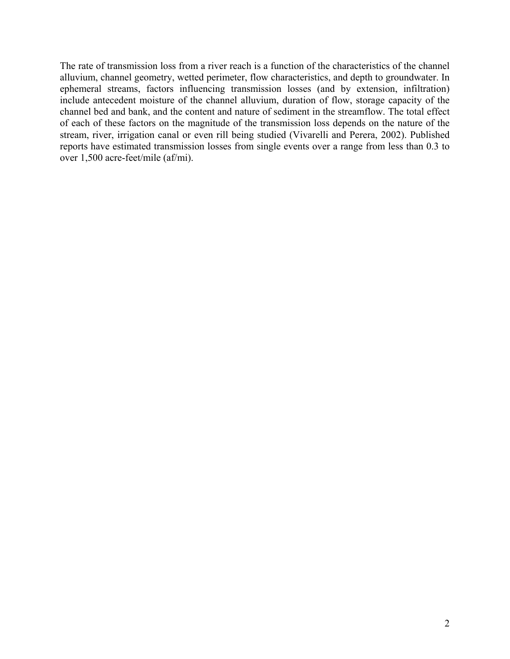The rate of transmission loss from a river reach is a function of the characteristics of the channel alluvium, channel geometry, wetted perimeter, flow characteristics, and depth to groundwater. In ephemeral streams, factors influencing transmission losses (and by extension, infiltration) include antecedent moisture of the channel alluvium, duration of flow, storage capacity of the channel bed and bank, and the content and nature of sediment in the streamflow. The total effect of each of these factors on the magnitude of the transmission loss depends on the nature of the stream, river, irrigation canal or even rill being studied (Vivarelli and Perera, 2002). Published reports have estimated transmission losses from single events over a range from less than 0.3 to over 1,500 acre-feet/mile (af/mi).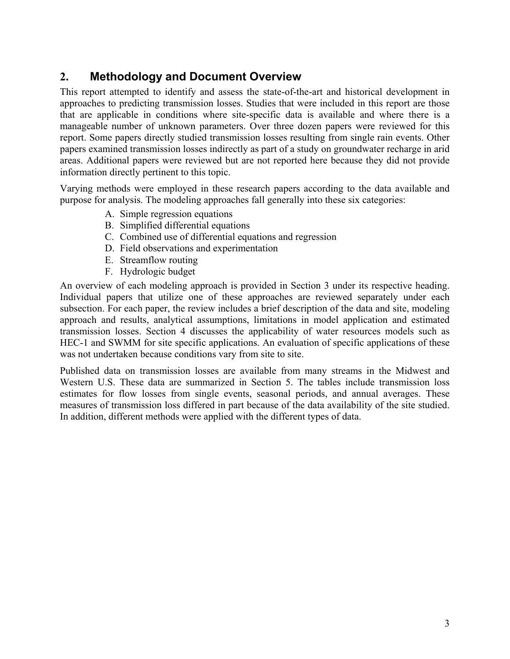# **2. Methodology and Document Overview**

This report attempted to identify and assess the state-of-the-art and historical development in approaches to predicting transmission losses. Studies that were included in this report are those that are applicable in conditions where site-specific data is available and where there is a manageable number of unknown parameters. Over three dozen papers were reviewed for this report. Some papers directly studied transmission losses resulting from single rain events. Other papers examined transmission losses indirectly as part of a study on groundwater recharge in arid areas. Additional papers were reviewed but are not reported here because they did not provide information directly pertinent to this topic.

Varying methods were employed in these research papers according to the data available and purpose for analysis. The modeling approaches fall generally into these six categories:

- A. Simple regression equations
- B. Simplified differential equations
- C. Combined use of differential equations and regression
- D. Field observations and experimentation
- E. Streamflow routing
- F. Hydrologic budget

An overview of each modeling approach is provided in Section 3 under its respective heading. Individual papers that utilize one of these approaches are reviewed separately under each subsection. For each paper, the review includes a brief description of the data and site, modeling approach and results, analytical assumptions, limitations in model application and estimated transmission losses. Section 4 discusses the applicability of water resources models such as HEC-1 and SWMM for site specific applications. An evaluation of specific applications of these was not undertaken because conditions vary from site to site.

Published data on transmission losses are available from many streams in the Midwest and Western U.S. These data are summarized in Section 5. The tables include transmission loss estimates for flow losses from single events, seasonal periods, and annual averages. These measures of transmission loss differed in part because of the data availability of the site studied. In addition, different methods were applied with the different types of data.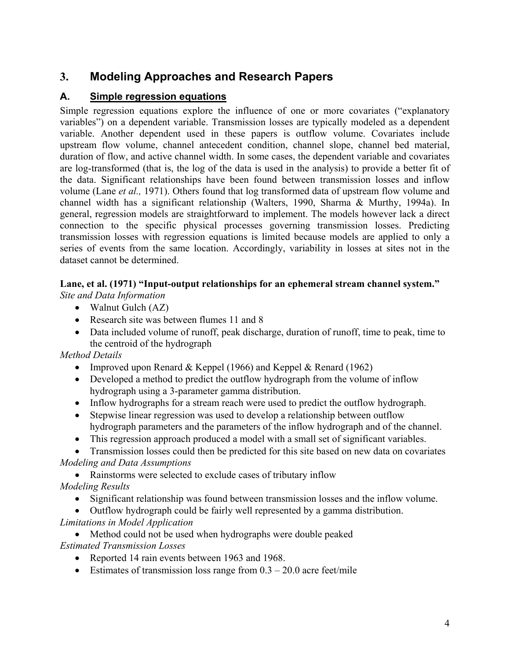# **3. Modeling Approaches and Research Papers**

#### **A. Simple regression equations**

Simple regression equations explore the influence of one or more covariates ("explanatory variables") on a dependent variable. Transmission losses are typically modeled as a dependent variable. Another dependent used in these papers is outflow volume. Covariates include upstream flow volume, channel antecedent condition, channel slope, channel bed material, duration of flow, and active channel width. In some cases, the dependent variable and covariates are log-transformed (that is, the log of the data is used in the analysis) to provide a better fit of the data. Significant relationships have been found between transmission losses and inflow volume (Lane *et al.,* 1971). Others found that log transformed data of upstream flow volume and channel width has a significant relationship (Walters, 1990, Sharma & Murthy, 1994a). In general, regression models are straightforward to implement. The models however lack a direct connection to the specific physical processes governing transmission losses. Predicting transmission losses with regression equations is limited because models are applied to only a series of events from the same location. Accordingly, variability in losses at sites not in the dataset cannot be determined.

# **Lane, et al. (1971) "Input-output relationships for an ephemeral stream channel system."**

*Site and Data Information* 

- Walnut Gulch (AZ)
- Research site was between flumes 11 and 8
- Data included volume of runoff, peak discharge, duration of runoff, time to peak, time to the centroid of the hydrograph

*Method Details* 

- Improved upon Renard & Keppel (1966) and Keppel & Renard (1962)
- Developed a method to predict the outflow hydrograph from the volume of inflow hydrograph using a 3-parameter gamma distribution.
- Inflow hydrographs for a stream reach were used to predict the outflow hydrograph.
- Stepwise linear regression was used to develop a relationship between outflow hydrograph parameters and the parameters of the inflow hydrograph and of the channel.
- This regression approach produced a model with a small set of significant variables.

• Transmission losses could then be predicted for this site based on new data on covariates *Modeling and Data Assumptions* 

• Rainstorms were selected to exclude cases of tributary inflow *Modeling Results* 

- Significant relationship was found between transmission losses and the inflow volume.
- Outflow hydrograph could be fairly well represented by a gamma distribution. *Limitations in Model Application*

• Method could not be used when hydrographs were double peaked *Estimated Transmission Losses* 

- Reported 14 rain events between 1963 and 1968.
- Estimates of transmission loss range from  $0.3 20.0$  acre feet/mile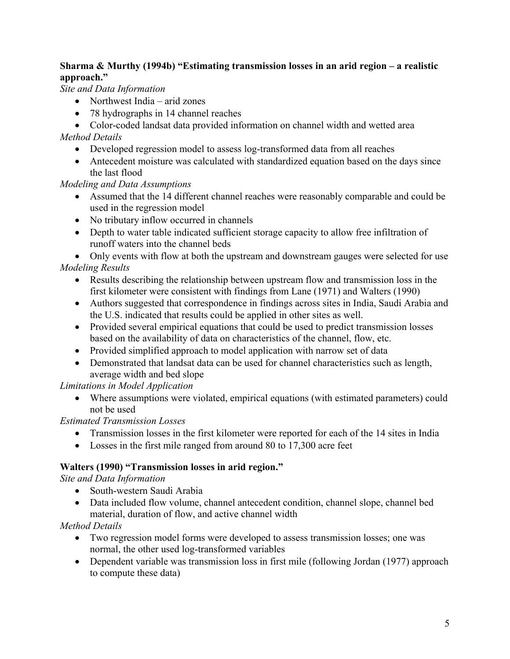#### **Sharma & Murthy (1994b) "Estimating transmission losses in an arid region – a realistic approach."**

*Site and Data Information* 

- Northwest India arid zones
- 78 hydrographs in 14 channel reaches

• Color-coded landsat data provided information on channel width and wetted area

*Method Details* 

- Developed regression model to assess log-transformed data from all reaches
- Antecedent moisture was calculated with standardized equation based on the days since the last flood

#### *Modeling and Data Assumptions*

- Assumed that the 14 different channel reaches were reasonably comparable and could be used in the regression model
- No tributary inflow occurred in channels
- Depth to water table indicated sufficient storage capacity to allow free infiltration of runoff waters into the channel beds

• Only events with flow at both the upstream and downstream gauges were selected for use *Modeling Results* 

- Results describing the relationship between upstream flow and transmission loss in the first kilometer were consistent with findings from Lane (1971) and Walters (1990)
- Authors suggested that correspondence in findings across sites in India, Saudi Arabia and the U.S. indicated that results could be applied in other sites as well.
- Provided several empirical equations that could be used to predict transmission losses based on the availability of data on characteristics of the channel, flow, etc.
- Provided simplified approach to model application with narrow set of data
- Demonstrated that landsat data can be used for channel characteristics such as length, average width and bed slope

*Limitations in Model Application* 

• Where assumptions were violated, empirical equations (with estimated parameters) could not be used

*Estimated Transmission Losses* 

- Transmission losses in the first kilometer were reported for each of the 14 sites in India
- Losses in the first mile ranged from around 80 to 17,300 acre feet

#### **Walters (1990) "Transmission losses in arid region."**

*Site and Data Information* 

- South-western Saudi Arabia
- Data included flow volume, channel antecedent condition, channel slope, channel bed material, duration of flow, and active channel width

*Method Details* 

- Two regression model forms were developed to assess transmission losses; one was normal, the other used log-transformed variables
- Dependent variable was transmission loss in first mile (following Jordan (1977) approach to compute these data)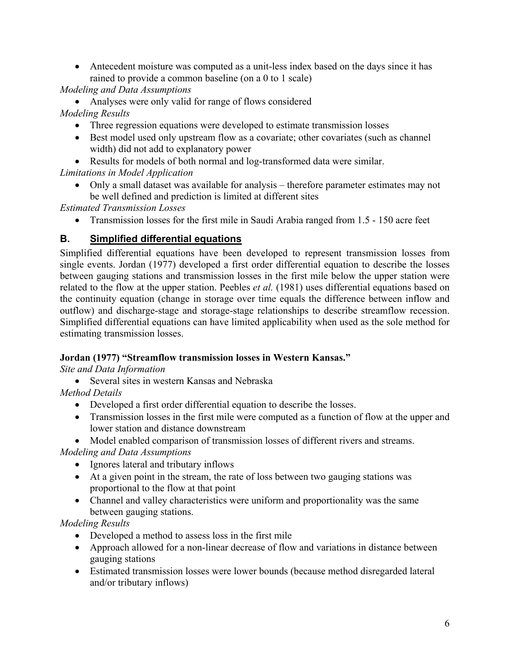• Antecedent moisture was computed as a unit-less index based on the days since it has rained to provide a common baseline (on a 0 to 1 scale)

*Modeling and Data Assumptions* 

• Analyses were only valid for range of flows considered *Modeling Results* 

- Three regression equations were developed to estimate transmission losses
- Best model used only upstream flow as a covariate; other covariates (such as channel width) did not add to explanatory power
- Results for models of both normal and log-transformed data were similar.

*Limitations in Model Application* 

• Only a small dataset was available for analysis – therefore parameter estimates may not be well defined and prediction is limited at different sites

*Estimated Transmission Losses* 

• Transmission losses for the first mile in Saudi Arabia ranged from 1.5 - 150 acre feet

#### **B. Simplified differential equations**

Simplified differential equations have been developed to represent transmission losses from single events. Jordan (1977) developed a first order differential equation to describe the losses between gauging stations and transmission losses in the first mile below the upper station were related to the flow at the upper station. Peebles *et al.* (1981) uses differential equations based on the continuity equation (change in storage over time equals the difference between inflow and outflow) and discharge-stage and storage-stage relationships to describe streamflow recession. Simplified differential equations can have limited applicability when used as the sole method for estimating transmission losses.

#### **Jordan (1977) "Streamflow transmission losses in Western Kansas."**

*Site and Data Information* 

• Several sites in western Kansas and Nebraska

*Method Details* 

- Developed a first order differential equation to describe the losses.
- Transmission losses in the first mile were computed as a function of flow at the upper and lower station and distance downstream
- Model enabled comparison of transmission losses of different rivers and streams.

*Modeling and Data Assumptions* 

- Ignores lateral and tributary inflows
- At a given point in the stream, the rate of loss between two gauging stations was proportional to the flow at that point
- Channel and valley characteristics were uniform and proportionality was the same between gauging stations.

*Modeling Results* 

- Developed a method to assess loss in the first mile
- Approach allowed for a non-linear decrease of flow and variations in distance between gauging stations
- Estimated transmission losses were lower bounds (because method disregarded lateral and/or tributary inflows)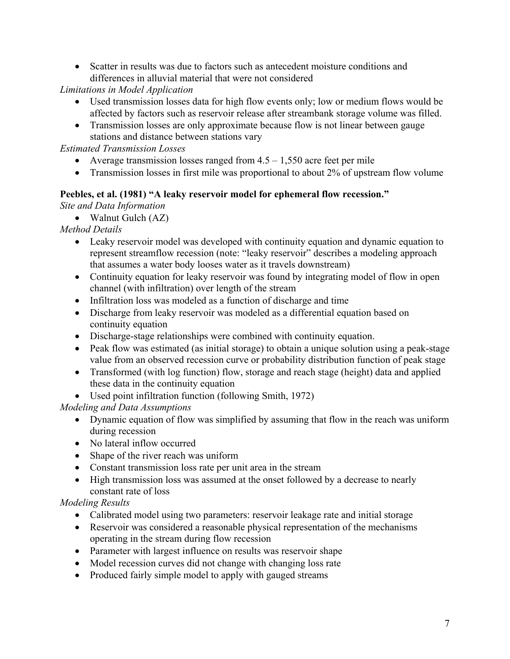• Scatter in results was due to factors such as antecedent moisture conditions and differences in alluvial material that were not considered

*Limitations in Model Application* 

- Used transmission losses data for high flow events only; low or medium flows would be affected by factors such as reservoir release after streambank storage volume was filled.
- Transmission losses are only approximate because flow is not linear between gauge stations and distance between stations vary

*Estimated Transmission Losses* 

- Average transmission losses ranged from  $4.5 1,550$  acre feet per mile
- Transmission losses in first mile was proportional to about 2% of upstream flow volume

#### **Peebles, et al. (1981) "A leaky reservoir model for ephemeral flow recession."**

*Site and Data Information* 

• Walnut Gulch (AZ)

*Method Details* 

- Leaky reservoir model was developed with continuity equation and dynamic equation to represent streamflow recession (note: "leaky reservoir" describes a modeling approach that assumes a water body looses water as it travels downstream)
- Continuity equation for leaky reservoir was found by integrating model of flow in open channel (with infiltration) over length of the stream
- Infiltration loss was modeled as a function of discharge and time
- Discharge from leaky reservoir was modeled as a differential equation based on continuity equation
- Discharge-stage relationships were combined with continuity equation.
- Peak flow was estimated (as initial storage) to obtain a unique solution using a peak-stage value from an observed recession curve or probability distribution function of peak stage
- Transformed (with log function) flow, storage and reach stage (height) data and applied these data in the continuity equation
- Used point infiltration function (following Smith, 1972)

*Modeling and Data Assumptions* 

- Dynamic equation of flow was simplified by assuming that flow in the reach was uniform during recession
- No lateral inflow occurred
- Shape of the river reach was uniform
- Constant transmission loss rate per unit area in the stream
- High transmission loss was assumed at the onset followed by a decrease to nearly constant rate of loss

*Modeling Results* 

- Calibrated model using two parameters: reservoir leakage rate and initial storage
- Reservoir was considered a reasonable physical representation of the mechanisms operating in the stream during flow recession
- Parameter with largest influence on results was reservoir shape
- Model recession curves did not change with changing loss rate
- Produced fairly simple model to apply with gauged streams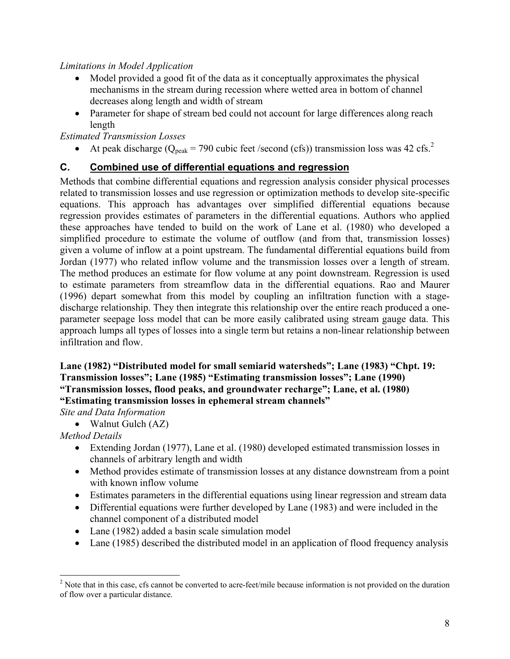#### *Limitations in Model Application*

- Model provided a good fit of the data as it conceptually approximates the physical mechanisms in the stream during recession where wetted area in bottom of channel decreases along length and width of stream
- Parameter for shape of stream bed could not account for large differences along reach length

*Estimated Transmission Losses* 

• At peak discharge ( $Q_{peak}$  = 790 cubic feet /second (cfs)) transmission loss was 42 cfs.<sup>2</sup>

#### **C. Combined use of differential equations and regression**

Methods that combine differential equations and regression analysis consider physical processes related to transmission losses and use regression or optimization methods to develop site-specific equations. This approach has advantages over simplified differential equations because regression provides estimates of parameters in the differential equations. Authors who applied these approaches have tended to build on the work of Lane et al. (1980) who developed a simplified procedure to estimate the volume of outflow (and from that, transmission losses) given a volume of inflow at a point upstream. The fundamental differential equations build from Jordan (1977) who related inflow volume and the transmission losses over a length of stream. The method produces an estimate for flow volume at any point downstream. Regression is used to estimate parameters from streamflow data in the differential equations. Rao and Maurer (1996) depart somewhat from this model by coupling an infiltration function with a stagedischarge relationship. They then integrate this relationship over the entire reach produced a oneparameter seepage loss model that can be more easily calibrated using stream gauge data. This approach lumps all types of losses into a single term but retains a non-linear relationship between infiltration and flow.

#### **Lane (1982) "Distributed model for small semiarid watersheds"; Lane (1983) "Chpt. 19: Transmission losses"; Lane (1985) "Estimating transmission losses"; Lane (1990) "Transmission losses, flood peaks, and groundwater recharge"; Lane, et al. (1980) "Estimating transmission losses in ephemeral stream channels"**

*Site and Data Information* 

• Walnut Gulch (AZ)

#### *Method Details*

 $\overline{a}$ 

- Extending Jordan (1977), Lane et al. (1980) developed estimated transmission losses in channels of arbitrary length and width
- Method provides estimate of transmission losses at any distance downstream from a point with known inflow volume
- Estimates parameters in the differential equations using linear regression and stream data
- Differential equations were further developed by Lane (1983) and were included in the channel component of a distributed model
- Lane (1982) added a basin scale simulation model
- Lane (1985) described the distributed model in an application of flood frequency analysis

 $2^{2}$  Note that in this case, cfs cannot be converted to acre-feet/mile because information is not provided on the duration of flow over a particular distance.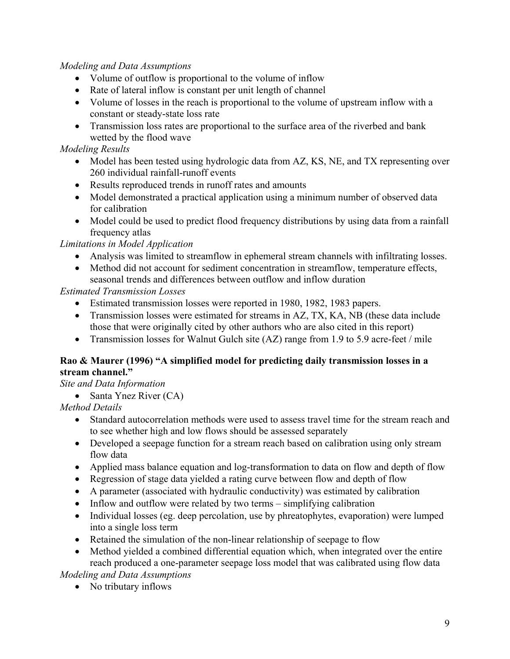#### *Modeling and Data Assumptions*

- Volume of outflow is proportional to the volume of inflow
- Rate of lateral inflow is constant per unit length of channel
- Volume of losses in the reach is proportional to the volume of upstream inflow with a constant or steady-state loss rate
- Transmission loss rates are proportional to the surface area of the riverbed and bank wetted by the flood wave

#### *Modeling Results*

- Model has been tested using hydrologic data from AZ, KS, NE, and TX representing over 260 individual rainfall-runoff events
- Results reproduced trends in runoff rates and amounts
- Model demonstrated a practical application using a minimum number of observed data for calibration
- Model could be used to predict flood frequency distributions by using data from a rainfall frequency atlas

*Limitations in Model Application* 

- Analysis was limited to streamflow in ephemeral stream channels with infiltrating losses.
- Method did not account for sediment concentration in streamflow, temperature effects, seasonal trends and differences between outflow and inflow duration

#### *Estimated Transmission Losses*

- Estimated transmission losses were reported in 1980, 1982, 1983 papers.
- Transmission losses were estimated for streams in AZ, TX, KA, NB (these data include those that were originally cited by other authors who are also cited in this report)
- Transmission losses for Walnut Gulch site (AZ) range from 1.9 to 5.9 acre-feet / mile

#### **Rao & Maurer (1996) "A simplified model for predicting daily transmission losses in a stream channel."**

*Site and Data Information* 

• Santa Ynez River (CA)

*Method Details* 

- Standard autocorrelation methods were used to assess travel time for the stream reach and to see whether high and low flows should be assessed separately
- Developed a seepage function for a stream reach based on calibration using only stream flow data
- Applied mass balance equation and log-transformation to data on flow and depth of flow
- Regression of stage data yielded a rating curve between flow and depth of flow
- A parameter (associated with hydraulic conductivity) was estimated by calibration
- Inflow and outflow were related by two terms simplifying calibration
- Individual losses (eg. deep percolation, use by phreatophytes, evaporation) were lumped into a single loss term
- Retained the simulation of the non-linear relationship of seepage to flow
- Method yielded a combined differential equation which, when integrated over the entire reach produced a one-parameter seepage loss model that was calibrated using flow data

*Modeling and Data Assumptions* 

• No tributary inflows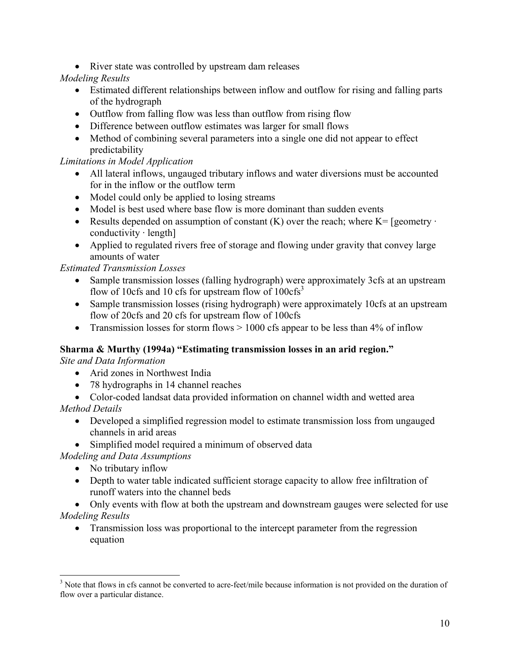• River state was controlled by upstream dam releases

#### *Modeling Results*

- Estimated different relationships between inflow and outflow for rising and falling parts of the hydrograph
- Outflow from falling flow was less than outflow from rising flow
- Difference between outflow estimates was larger for small flows
- Method of combining several parameters into a single one did not appear to effect predictability

#### *Limitations in Model Application*

- All lateral inflows, ungauged tributary inflows and water diversions must be accounted for in the inflow or the outflow term
- Model could only be applied to losing streams
- Model is best used where base flow is more dominant than sudden events
- Results depended on assumption of constant  $(K)$  over the reach; where  $K = \lceil$  geometry  $\cdot$ conductivity  $\cdot$  length]
- Applied to regulated rivers free of storage and flowing under gravity that convey large amounts of water

#### *Estimated Transmission Losses*

- Sample transmission losses (falling hydrograph) were approximately 3cfs at an upstream flow of 10cfs and 10 cfs for upstream flow of  $100cfs<sup>3</sup>$
- Sample transmission losses (rising hydrograph) were approximately 10cfs at an upstream flow of 20cfs and 20 cfs for upstream flow of 100cfs
- Transmission losses for storm flows  $> 1000$  cfs appear to be less than 4% of inflow

#### **Sharma & Murthy (1994a) "Estimating transmission losses in an arid region."**

*Site and Data Information* 

- Arid zones in Northwest India
- 78 hydrographs in 14 channel reaches
- Color-coded landsat data provided information on channel width and wetted area

*Method Details* 

- Developed a simplified regression model to estimate transmission loss from ungauged channels in arid areas
- Simplified model required a minimum of observed data

*Modeling and Data Assumptions* 

- No tributary inflow
- Depth to water table indicated sufficient storage capacity to allow free infiltration of runoff waters into the channel beds
- Only events with flow at both the upstream and downstream gauges were selected for use *Modeling Results* 
	- Transmission loss was proportional to the intercept parameter from the regression equation

<sup>&</sup>lt;sup>3</sup> Note that flows in cfs cannot be converted to acre-feet/mile because information is not provided on the duration of flow over a particular distance.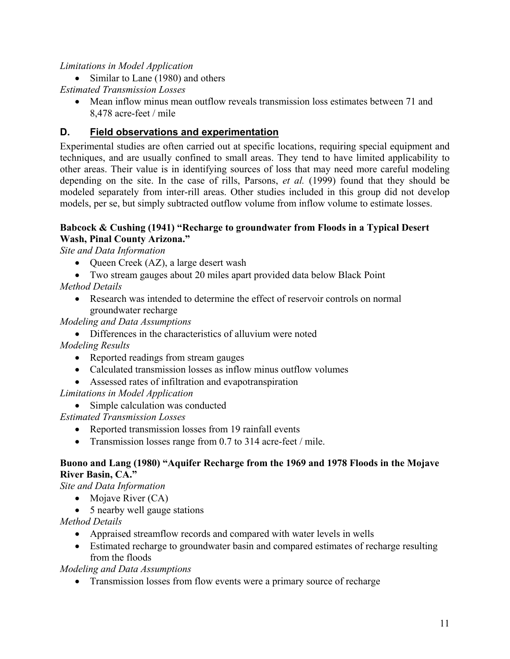#### *Limitations in Model Application*

• Similar to Lane (1980) and others

*Estimated Transmission Losses* 

• Mean inflow minus mean outflow reveals transmission loss estimates between 71 and 8,478 acre-feet / mile

#### **D. Field observations and experimentation**

Experimental studies are often carried out at specific locations, requiring special equipment and techniques, and are usually confined to small areas. They tend to have limited applicability to other areas. Their value is in identifying sources of loss that may need more careful modeling depending on the site. In the case of rills, Parsons, *et al.* (1999) found that they should be modeled separately from inter-rill areas. Other studies included in this group did not develop models, per se, but simply subtracted outflow volume from inflow volume to estimate losses.

#### **Babcock & Cushing (1941) "Recharge to groundwater from Floods in a Typical Desert Wash, Pinal County Arizona."**

*Site and Data Information* 

- Queen Creek (AZ), a large desert wash
- Two stream gauges about 20 miles apart provided data below Black Point

*Method Details* 

• Research was intended to determine the effect of reservoir controls on normal groundwater recharge

*Modeling and Data Assumptions* 

• Differences in the characteristics of alluvium were noted

*Modeling Results* 

- Reported readings from stream gauges
- Calculated transmission losses as inflow minus outflow volumes
- Assessed rates of infiltration and evapotranspiration

*Limitations in Model Application* 

• Simple calculation was conducted

*Estimated Transmission Losses* 

- Reported transmission losses from 19 rainfall events
- Transmission losses range from 0.7 to 314 acre-feet / mile.

#### **Buono and Lang (1980) "Aquifer Recharge from the 1969 and 1978 Floods in the Mojave River Basin, CA."**

*Site and Data Information* 

- Mojave River (CA)
- 5 nearby well gauge stations

*Method Details* 

- Appraised streamflow records and compared with water levels in wells
- Estimated recharge to groundwater basin and compared estimates of recharge resulting from the floods

#### *Modeling and Data Assumptions*

• Transmission losses from flow events were a primary source of recharge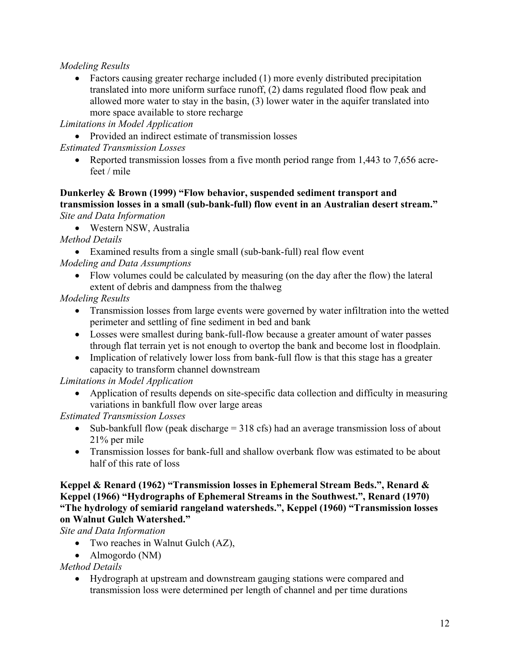#### *Modeling Results*

• Factors causing greater recharge included (1) more evenly distributed precipitation translated into more uniform surface runoff, (2) dams regulated flood flow peak and allowed more water to stay in the basin, (3) lower water in the aquifer translated into more space available to store recharge

*Limitations in Model Application* 

• Provided an indirect estimate of transmission losses

*Estimated Transmission Losses* 

• Reported transmission losses from a five month period range from 1,443 to 7,656 acrefeet / mile

#### **Dunkerley & Brown (1999) "Flow behavior, suspended sediment transport and transmission losses in a small (sub-bank-full) flow event in an Australian desert stream."**  *Site and Data Information*

• Western NSW, Australia

*Method Details* 

- Examined results from a single small (sub-bank-full) real flow event
- *Modeling and Data Assumptions* 
	- Flow volumes could be calculated by measuring (on the day after the flow) the lateral extent of debris and dampness from the thalweg

*Modeling Results* 

- Transmission losses from large events were governed by water infiltration into the wetted perimeter and settling of fine sediment in bed and bank
- Losses were smallest during bank-full-flow because a greater amount of water passes through flat terrain yet is not enough to overtop the bank and become lost in floodplain.
- Implication of relatively lower loss from bank-full flow is that this stage has a greater capacity to transform channel downstream

*Limitations in Model Application* 

• Application of results depends on site-specific data collection and difficulty in measuring variations in bankfull flow over large areas

*Estimated Transmission Losses* 

- Sub-bankfull flow (peak discharge  $=$  318 cfs) had an average transmission loss of about 21% per mile
- Transmission losses for bank-full and shallow overbank flow was estimated to be about half of this rate of loss

#### **Keppel & Renard (1962) "Transmission losses in Ephemeral Stream Beds.", Renard & Keppel (1966) "Hydrographs of Ephemeral Streams in the Southwest.", Renard (1970) "The hydrology of semiarid rangeland watersheds.", Keppel (1960) "Transmission losses on Walnut Gulch Watershed."**

*Site and Data Information* 

- Two reaches in Walnut Gulch (AZ),
- Almogordo (NM)

*Method Details* 

• Hydrograph at upstream and downstream gauging stations were compared and transmission loss were determined per length of channel and per time durations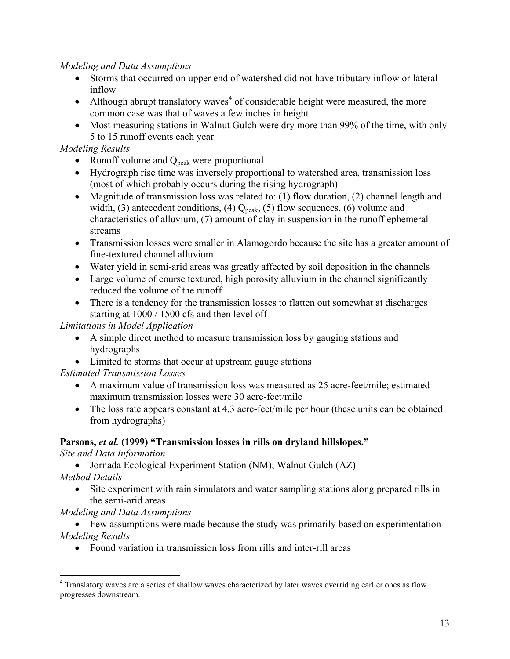#### *Modeling and Data Assumptions*

- Storms that occurred on upper end of watershed did not have tributary inflow or lateral inflow
- Although abrupt translatory waves<sup>4</sup> of considerable height were measured, the more common case was that of waves a few inches in height
- Most measuring stations in Walnut Gulch were dry more than 99% of the time, with only 5 to 15 runoff events each year

#### *Modeling Results*

- Runoff volume and  $Q_{peak}$  were proportional
- Hydrograph rise time was inversely proportional to watershed area, transmission loss (most of which probably occurs during the rising hydrograph)
- Magnitude of transmission loss was related to: (1) flow duration, (2) channel length and width, (3) antecedent conditions, (4)  $Q_{peak}$ , (5) flow sequences, (6) volume and characteristics of alluvium, (7) amount of clay in suspension in the runoff ephemeral streams
- Transmission losses were smaller in Alamogordo because the site has a greater amount of fine-textured channel alluvium
- Water yield in semi-arid areas was greatly affected by soil deposition in the channels
- Large volume of course textured, high porosity alluvium in the channel significantly reduced the volume of the runoff
- There is a tendency for the transmission losses to flatten out somewhat at discharges starting at 1000 / 1500 cfs and then level off

*Limitations in Model Application* 

- A simple direct method to measure transmission loss by gauging stations and hydrographs
- Limited to storms that occur at upstream gauge stations

#### *Estimated Transmission Losses*

- A maximum value of transmission loss was measured as 25 acre-feet/mile; estimated maximum transmission losses were 30 acre-feet/mile
- The loss rate appears constant at 4.3 acre-feet/mile per hour (these units can be obtained from hydrographs)

#### **Parsons,** *et al.* **(1999) "Transmission losses in rills on dryland hillslopes."**

*Site and Data Information* 

• Jornada Ecological Experiment Station (NM); Walnut Gulch (AZ)

*Method Details* 

1

• Site experiment with rain simulators and water sampling stations along prepared rills in the semi-arid areas

*Modeling and Data Assumptions* 

• Few assumptions were made because the study was primarily based on experimentation *Modeling Results* 

• Found variation in transmission loss from rills and inter-rill areas

<sup>&</sup>lt;sup>4</sup> Translatory waves are a series of shallow waves characterized by later waves overriding earlier ones as flow progresses downstream.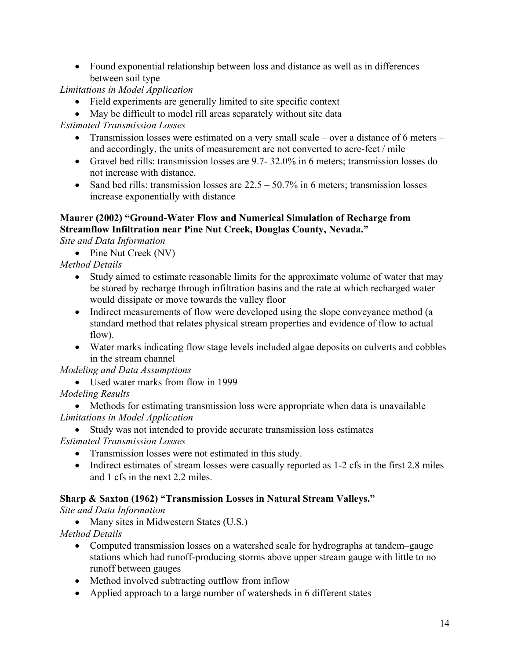• Found exponential relationship between loss and distance as well as in differences between soil type

*Limitations in Model Application* 

- Field experiments are generally limited to site specific context
- May be difficult to model rill areas separately without site data

*Estimated Transmission Losses* 

- Transmission losses were estimated on a very small scale over a distance of 6 meters and accordingly, the units of measurement are not converted to acre-feet / mile
- Gravel bed rills: transmission losses are 9.7- 32.0% in 6 meters; transmission losses do not increase with distance.
- Sand bed rills: transmission losses are  $22.5 50.7\%$  in 6 meters; transmission losses increase exponentially with distance

#### **Maurer (2002) "Ground-Water Flow and Numerical Simulation of Recharge from Streamflow Infiltration near Pine Nut Creek, Douglas County, Nevada."**

*Site and Data Information* 

• Pine Nut Creek (NV)

*Method Details* 

- Study aimed to estimate reasonable limits for the approximate volume of water that may be stored by recharge through infiltration basins and the rate at which recharged water would dissipate or move towards the valley floor
- Indirect measurements of flow were developed using the slope conveyance method (a standard method that relates physical stream properties and evidence of flow to actual flow).
- Water marks indicating flow stage levels included algae deposits on culverts and cobbles in the stream channel

#### *Modeling and Data Assumptions*

• Used water marks from flow in 1999

*Modeling Results* 

• Methods for estimating transmission loss were appropriate when data is unavailable *Limitations in Model Application* 

- Study was not intended to provide accurate transmission loss estimates *Estimated Transmission Losses* 
	- Transmission losses were not estimated in this study.
	- Indirect estimates of stream losses were casually reported as 1-2 cfs in the first 2.8 miles and 1 cfs in the next 2.2 miles.

#### **Sharp & Saxton (1962) "Transmission Losses in Natural Stream Valleys."**

*Site and Data Information* 

• Many sites in Midwestern States (U.S.)

*Method Details* 

- Computed transmission losses on a watershed scale for hydrographs at tandem–gauge stations which had runoff-producing storms above upper stream gauge with little to no runoff between gauges
- Method involved subtracting outflow from inflow
- Applied approach to a large number of watersheds in 6 different states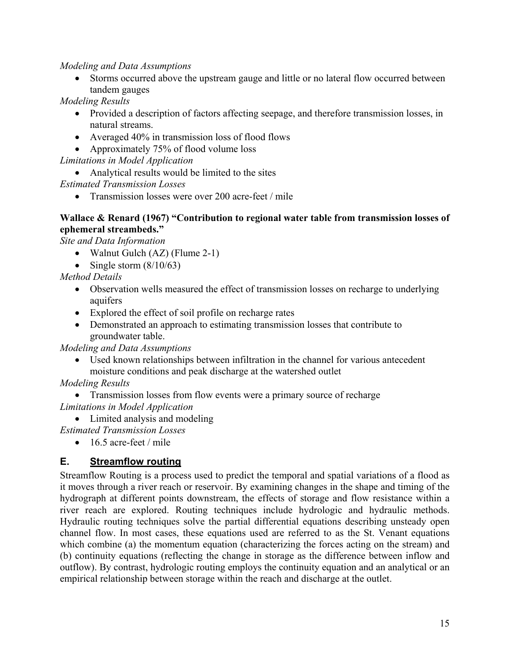*Modeling and Data Assumptions* 

• Storms occurred above the upstream gauge and little or no lateral flow occurred between tandem gauges

*Modeling Results* 

- Provided a description of factors affecting seepage, and therefore transmission losses, in natural streams.
- Averaged 40% in transmission loss of flood flows
- Approximately 75% of flood volume loss

*Limitations in Model Application* 

• Analytical results would be limited to the sites

*Estimated Transmission Losses* 

• Transmission losses were over 200 acre-feet / mile

#### **Wallace & Renard (1967) "Contribution to regional water table from transmission losses of ephemeral streambeds."**

*Site and Data Information* 

- Walnut Gulch (AZ) (Flume 2-1)
- Single storm  $(8/10/63)$

*Method Details* 

- Observation wells measured the effect of transmission losses on recharge to underlying aquifers
- Explored the effect of soil profile on recharge rates
- Demonstrated an approach to estimating transmission losses that contribute to groundwater table.

*Modeling and Data Assumptions* 

• Used known relationships between infiltration in the channel for various antecedent moisture conditions and peak discharge at the watershed outlet

*Modeling Results* 

• Transmission losses from flow events were a primary source of recharge

*Limitations in Model Application* 

• Limited analysis and modeling

*Estimated Transmission Losses* 

 $\bullet$  16.5 acre-feet / mile

#### **E. Streamflow routing**

Streamflow Routing is a process used to predict the temporal and spatial variations of a flood as it moves through a river reach or reservoir. By examining changes in the shape and timing of the hydrograph at different points downstream, the effects of storage and flow resistance within a river reach are explored. Routing techniques include hydrologic and hydraulic methods. Hydraulic routing techniques solve the partial differential equations describing unsteady open channel flow. In most cases, these equations used are referred to as the St. Venant equations which combine (a) the momentum equation (characterizing the forces acting on the stream) and (b) continuity equations (reflecting the change in storage as the difference between inflow and outflow). By contrast, hydrologic routing employs the continuity equation and an analytical or an empirical relationship between storage within the reach and discharge at the outlet.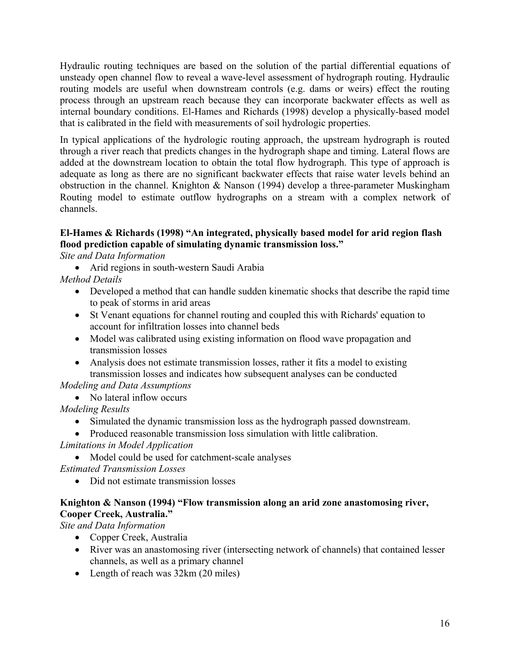Hydraulic routing techniques are based on the solution of the partial differential equations of unsteady open channel flow to reveal a wave-level assessment of hydrograph routing. Hydraulic routing models are useful when downstream controls (e.g. dams or weirs) effect the routing process through an upstream reach because they can incorporate backwater effects as well as internal boundary conditions. El-Hames and Richards (1998) develop a physically-based model that is calibrated in the field with measurements of soil hydrologic properties.

In typical applications of the hydrologic routing approach, the upstream hydrograph is routed through a river reach that predicts changes in the hydrograph shape and timing. Lateral flows are added at the downstream location to obtain the total flow hydrograph. This type of approach is adequate as long as there are no significant backwater effects that raise water levels behind an obstruction in the channel. Knighton & Nanson (1994) develop a three-parameter Muskingham Routing model to estimate outflow hydrographs on a stream with a complex network of channels.

#### **El-Hames & Richards (1998) "An integrated, physically based model for arid region flash flood prediction capable of simulating dynamic transmission loss."**

*Site and Data Information* 

• Arid regions in south-western Saudi Arabia

*Method Details* 

- Developed a method that can handle sudden kinematic shocks that describe the rapid time to peak of storms in arid areas
- St Venant equations for channel routing and coupled this with Richards' equation to account for infiltration losses into channel beds
- Model was calibrated using existing information on flood wave propagation and transmission losses
- Analysis does not estimate transmission losses, rather it fits a model to existing transmission losses and indicates how subsequent analyses can be conducted

#### *Modeling and Data Assumptions*

• No lateral inflow occurs

*Modeling Results* 

- Simulated the dynamic transmission loss as the hydrograph passed downstream.
- Produced reasonable transmission loss simulation with little calibration.

*Limitations in Model Application* 

• Model could be used for catchment-scale analyses

*Estimated Transmission Losses* 

• Did not estimate transmission losses

#### **Knighton & Nanson (1994) "Flow transmission along an arid zone anastomosing river, Cooper Creek, Australia."**

*Site and Data Information* 

- Copper Creek, Australia
- River was an anastomosing river (intersecting network of channels) that contained lesser channels, as well as a primary channel
- Length of reach was  $32 \text{km}$  (20 miles)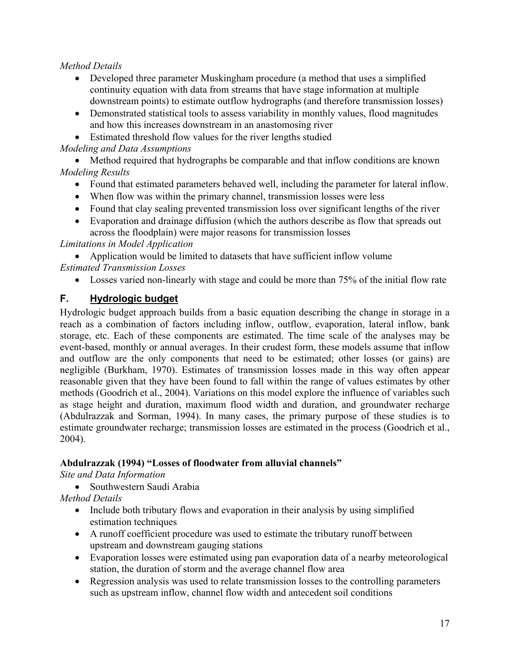#### *Method Details*

- Developed three parameter Muskingham procedure (a method that uses a simplified continuity equation with data from streams that have stage information at multiple downstream points) to estimate outflow hydrographs (and therefore transmission losses)
- Demonstrated statistical tools to assess variability in monthly values, flood magnitudes and how this increases downstream in an anastomosing river
- Estimated threshold flow values for the river lengths studied

*Modeling and Data Assumptions* 

• Method required that hydrographs be comparable and that inflow conditions are known *Modeling Results* 

- Found that estimated parameters behaved well, including the parameter for lateral inflow.
- When flow was within the primary channel, transmission losses were less
- Found that clay sealing prevented transmission loss over significant lengths of the river
- Evaporation and drainage diffusion (which the authors describe as flow that spreads out across the floodplain) were major reasons for transmission losses

*Limitations in Model Application* 

• Application would be limited to datasets that have sufficient inflow volume *Estimated Transmission Losses* 

• Losses varied non-linearly with stage and could be more than 75% of the initial flow rate

#### **F. Hydrologic budget**

Hydrologic budget approach builds from a basic equation describing the change in storage in a reach as a combination of factors including inflow, outflow, evaporation, lateral inflow, bank storage, etc. Each of these components are estimated. The time scale of the analyses may be event-based, monthly or annual averages. In their crudest form, these models assume that inflow and outflow are the only components that need to be estimated; other losses (or gains) are negligible (Burkham, 1970). Estimates of transmission losses made in this way often appear reasonable given that they have been found to fall within the range of values estimates by other methods (Goodrich et al., 2004). Variations on this model explore the influence of variables such as stage height and duration, maximum flood width and duration, and groundwater recharge (Abdulrazzak and Sorman, 1994). In many cases, the primary purpose of these studies is to estimate groundwater recharge; transmission losses are estimated in the process (Goodrich et al., 2004).

#### **Abdulrazzak (1994) "Losses of floodwater from alluvial channels"**

*Site and Data Information* 

• Southwestern Saudi Arabia

*Method Details* 

- Include both tributary flows and evaporation in their analysis by using simplified estimation techniques
- A runoff coefficient procedure was used to estimate the tributary runoff between upstream and downstream gauging stations
- Evaporation losses were estimated using pan evaporation data of a nearby meteorological station, the duration of storm and the average channel flow area
- Regression analysis was used to relate transmission losses to the controlling parameters such as upstream inflow, channel flow width and antecedent soil conditions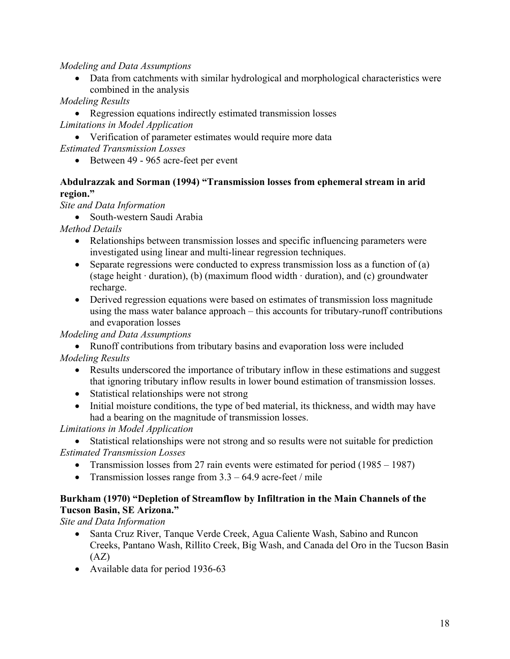#### *Modeling and Data Assumptions*

• Data from catchments with similar hydrological and morphological characteristics were combined in the analysis

*Modeling Results* 

- Regression equations indirectly estimated transmission losses *Limitations in Model Application*
- Verification of parameter estimates would require more data
- *Estimated Transmission Losses* 
	- Between 49 965 acre-feet per event

#### **Abdulrazzak and Sorman (1994) "Transmission losses from ephemeral stream in arid region."**

*Site and Data Information* 

• South-western Saudi Arabia

*Method Details* 

- Relationships between transmission losses and specific influencing parameters were investigated using linear and multi-linear regression techniques.
- Separate regressions were conducted to express transmission loss as a function of (a) (stage height  $\cdot$  duration), (b) (maximum flood width  $\cdot$  duration), and (c) groundwater recharge.
- Derived regression equations were based on estimates of transmission loss magnitude using the mass water balance approach – this accounts for tributary-runoff contributions and evaporation losses

#### *Modeling and Data Assumptions*

• Runoff contributions from tributary basins and evaporation loss were included

*Modeling Results* 

- Results underscored the importance of tributary inflow in these estimations and suggest that ignoring tributary inflow results in lower bound estimation of transmission losses.
- Statistical relationships were not strong
- Initial moisture conditions, the type of bed material, its thickness, and width may have had a bearing on the magnitude of transmission losses.

#### *Limitations in Model Application*

- Statistical relationships were not strong and so results were not suitable for prediction *Estimated Transmission Losses* 
	- Transmission losses from 27 rain events were estimated for period (1985 1987)
	- Transmission losses range from  $3.3 64.9$  acre-feet / mile

#### **Burkham (1970) "Depletion of Streamflow by Infiltration in the Main Channels of the Tucson Basin, SE Arizona."**

*Site and Data Information* 

- Santa Cruz River, Tanque Verde Creek, Agua Caliente Wash, Sabino and Runcon Creeks, Pantano Wash, Rillito Creek, Big Wash, and Canada del Oro in the Tucson Basin  $(AZ)$
- Available data for period 1936-63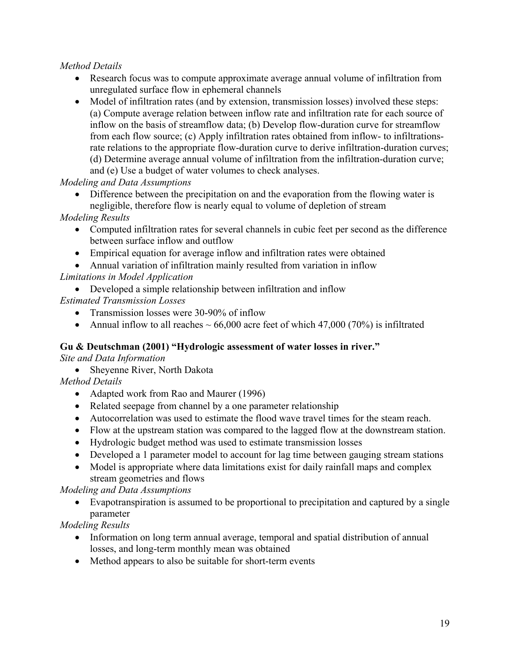#### *Method Details*

- Research focus was to compute approximate average annual volume of infiltration from unregulated surface flow in ephemeral channels
- Model of infiltration rates (and by extension, transmission losses) involved these steps: (a) Compute average relation between inflow rate and infiltration rate for each source of inflow on the basis of streamflow data; (b) Develop flow-duration curve for streamflow from each flow source; (c) Apply infiltration rates obtained from inflow- to infiltrationsrate relations to the appropriate flow-duration curve to derive infiltration-duration curves; (d) Determine average annual volume of infiltration from the infiltration-duration curve; and (e) Use a budget of water volumes to check analyses.

*Modeling and Data Assumptions* 

• Difference between the precipitation on and the evaporation from the flowing water is negligible, therefore flow is nearly equal to volume of depletion of stream

*Modeling Results* 

- Computed infiltration rates for several channels in cubic feet per second as the difference between surface inflow and outflow
- Empirical equation for average inflow and infiltration rates were obtained
- Annual variation of infiltration mainly resulted from variation in inflow

#### *Limitations in Model Application*

• Developed a simple relationship between infiltration and inflow

*Estimated Transmission Losses* 

- Transmission losses were 30-90% of inflow
- Annual inflow to all reaches  $\sim 66,000$  acre feet of which 47,000 (70%) is infiltrated

#### **Gu & Deutschman (2001) "Hydrologic assessment of water losses in river."**

*Site and Data Information* 

• Sheyenne River, North Dakota

*Method Details* 

- Adapted work from Rao and Maurer (1996)
- Related seepage from channel by a one parameter relationship
- Autocorrelation was used to estimate the flood wave travel times for the steam reach.
- Flow at the upstream station was compared to the lagged flow at the downstream station.
- Hydrologic budget method was used to estimate transmission losses
- Developed a 1 parameter model to account for lag time between gauging stream stations
- Model is appropriate where data limitations exist for daily rainfall maps and complex stream geometries and flows

*Modeling and Data Assumptions* 

• Evapotranspiration is assumed to be proportional to precipitation and captured by a single parameter

*Modeling Results* 

- Information on long term annual average, temporal and spatial distribution of annual losses, and long-term monthly mean was obtained
- Method appears to also be suitable for short-term events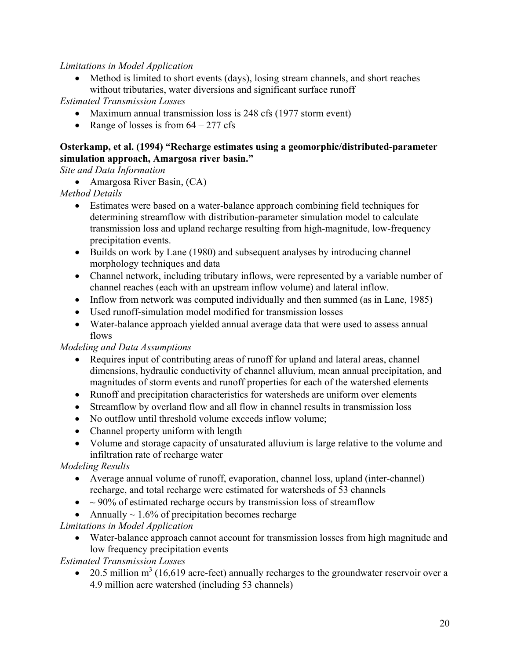#### *Limitations in Model Application*

• Method is limited to short events (days), losing stream channels, and short reaches without tributaries, water diversions and significant surface runoff

*Estimated Transmission Losses* 

- Maximum annual transmission loss is 248 cfs (1977 storm event)
- Range of losses is from  $64 277$  cfs

#### **Osterkamp, et al. (1994) "Recharge estimates using a geomorphic/distributed-parameter simulation approach, Amargosa river basin."**

*Site and Data Information* 

• Amargosa River Basin, (CA)

*Method Details* 

- Estimates were based on a water-balance approach combining field techniques for determining streamflow with distribution-parameter simulation model to calculate transmission loss and upland recharge resulting from high-magnitude, low-frequency precipitation events.
- Builds on work by Lane (1980) and subsequent analyses by introducing channel morphology techniques and data
- Channel network, including tributary inflows, were represented by a variable number of channel reaches (each with an upstream inflow volume) and lateral inflow.
- Inflow from network was computed individually and then summed (as in Lane, 1985)
- Used runoff-simulation model modified for transmission losses
- Water-balance approach yielded annual average data that were used to assess annual flows

#### *Modeling and Data Assumptions*

- Requires input of contributing areas of runoff for upland and lateral areas, channel dimensions, hydraulic conductivity of channel alluvium, mean annual precipitation, and magnitudes of storm events and runoff properties for each of the watershed elements
- Runoff and precipitation characteristics for watersheds are uniform over elements
- Streamflow by overland flow and all flow in channel results in transmission loss
- No outflow until threshold volume exceeds inflow volume;
- Channel property uniform with length
- Volume and storage capacity of unsaturated alluvium is large relative to the volume and infiltration rate of recharge water

*Modeling Results* 

- Average annual volume of runoff, evaporation, channel loss, upland (inter-channel) recharge, and total recharge were estimated for watersheds of 53 channels
- $\bullet \sim 90\%$  of estimated recharge occurs by transmission loss of streamflow
- Annually  $\sim 1.6\%$  of precipitation becomes recharge

*Limitations in Model Application* 

• Water-balance approach cannot account for transmission losses from high magnitude and low frequency precipitation events

*Estimated Transmission Losses* 

• 20.5 million  $m^3$  (16,619 acre-feet) annually recharges to the groundwater reservoir over a 4.9 million acre watershed (including 53 channels)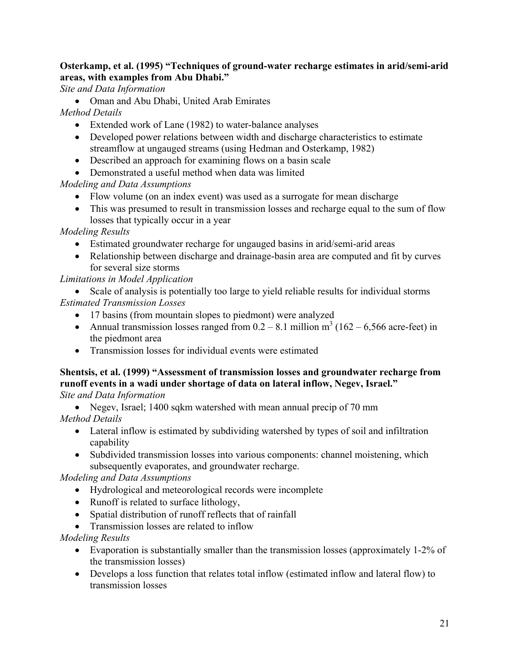#### **Osterkamp, et al. (1995) "Techniques of ground-water recharge estimates in arid/semi-arid areas, with examples from Abu Dhabi."**

*Site and Data Information* 

• Oman and Abu Dhabi, United Arab Emirates

*Method Details* 

- Extended work of Lane (1982) to water-balance analyses
- Developed power relations between width and discharge characteristics to estimate streamflow at ungauged streams (using Hedman and Osterkamp, 1982)
- Described an approach for examining flows on a basin scale
- Demonstrated a useful method when data was limited

#### *Modeling and Data Assumptions*

- Flow volume (on an index event) was used as a surrogate for mean discharge
- This was presumed to result in transmission losses and recharge equal to the sum of flow losses that typically occur in a year

*Modeling Results* 

- Estimated groundwater recharge for ungauged basins in arid/semi-arid areas
- Relationship between discharge and drainage-basin area are computed and fit by curves for several size storms

#### *Limitations in Model Application*

- Scale of analysis is potentially too large to yield reliable results for individual storms *Estimated Transmission Losses* 
	- 17 basins (from mountain slopes to piedmont) were analyzed
	- Annual transmission losses ranged from  $0.2 8.1$  million m<sup>3</sup> (162 6,566 acre-feet) in the piedmont area
	- Transmission losses for individual events were estimated

#### **Shentsis, et al. (1999) "Assessment of transmission losses and groundwater recharge from runoff events in a wadi under shortage of data on lateral inflow, Negev, Israel."**  *Site and Data Information*

• Negev, Israel; 1400 sqkm watershed with mean annual precip of 70 mm

*Method Details* 

- Lateral inflow is estimated by subdividing watershed by types of soil and infiltration capability
- Subdivided transmission losses into various components: channel moistening, which subsequently evaporates, and groundwater recharge.

*Modeling and Data Assumptions* 

- Hydrological and meteorological records were incomplete
- Runoff is related to surface lithology,
- Spatial distribution of runoff reflects that of rainfall
- Transmission losses are related to inflow

#### *Modeling Results*

- Evaporation is substantially smaller than the transmission losses (approximately 1-2% of the transmission losses)
- Develops a loss function that relates total inflow (estimated inflow and lateral flow) to transmission losses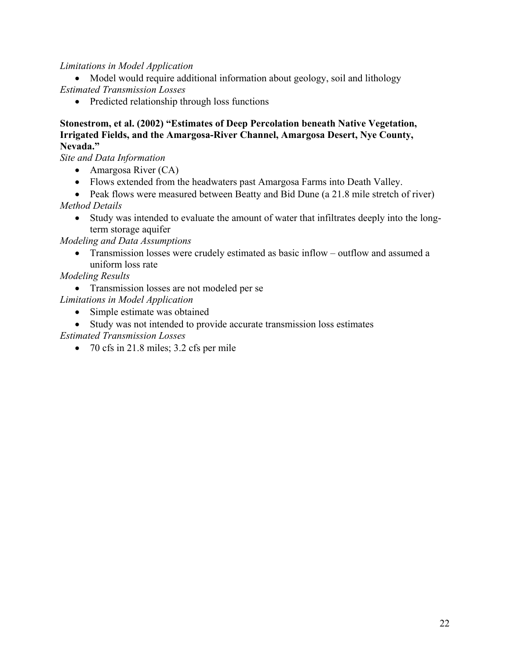#### *Limitations in Model Application*

• Model would require additional information about geology, soil and lithology *Estimated Transmission Losses* 

• Predicted relationship through loss functions

#### **Stonestrom, et al. (2002) "Estimates of Deep Percolation beneath Native Vegetation, Irrigated Fields, and the Amargosa-River Channel, Amargosa Desert, Nye County, Nevada."**

*Site and Data Information* 

- Amargosa River (CA)
- Flows extended from the headwaters past Amargosa Farms into Death Valley.
- Peak flows were measured between Beatty and Bid Dune (a 21.8 mile stretch of river) *Method Details* 
	- Study was intended to evaluate the amount of water that infiltrates deeply into the longterm storage aquifer

*Modeling and Data Assumptions* 

• Transmission losses were crudely estimated as basic inflow – outflow and assumed a uniform loss rate

#### *Modeling Results*

• Transmission losses are not modeled per se

*Limitations in Model Application* 

- Simple estimate was obtained
- Study was not intended to provide accurate transmission loss estimates

*Estimated Transmission Losses* 

• 70 cfs in 21.8 miles; 3.2 cfs per mile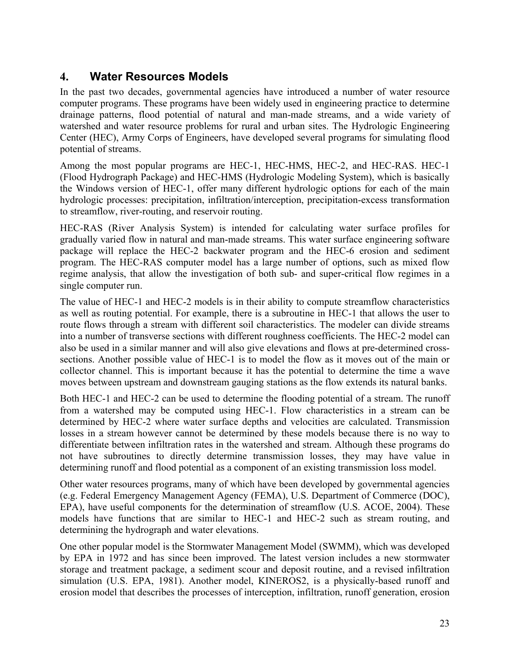# **4. Water Resources Models**

In the past two decades, governmental agencies have introduced a number of water resource computer programs. These programs have been widely used in engineering practice to determine drainage patterns, flood potential of natural and man-made streams, and a wide variety of watershed and water resource problems for rural and urban sites. The Hydrologic Engineering Center (HEC), Army Corps of Engineers, have developed several programs for simulating flood potential of streams.

Among the most popular programs are HEC-1, HEC-HMS, HEC-2, and HEC-RAS. HEC-1 (Flood Hydrograph Package) and HEC-HMS (Hydrologic Modeling System), which is basically the Windows version of HEC-1, offer many different hydrologic options for each of the main hydrologic processes: precipitation, infiltration/interception, precipitation-excess transformation to streamflow, river-routing, and reservoir routing.

HEC-RAS (River Analysis System) is intended for calculating water surface profiles for gradually varied flow in natural and man-made streams. This water surface engineering software package will replace the HEC-2 backwater program and the HEC-6 erosion and sediment program. The HEC-RAS computer model has a large number of options, such as mixed flow regime analysis, that allow the investigation of both sub- and super-critical flow regimes in a single computer run.

The value of HEC-1 and HEC-2 models is in their ability to compute streamflow characteristics as well as routing potential. For example, there is a subroutine in HEC-1 that allows the user to route flows through a stream with different soil characteristics. The modeler can divide streams into a number of transverse sections with different roughness coefficients. The HEC-2 model can also be used in a similar manner and will also give elevations and flows at pre-determined crosssections. Another possible value of HEC-1 is to model the flow as it moves out of the main or collector channel. This is important because it has the potential to determine the time a wave moves between upstream and downstream gauging stations as the flow extends its natural banks.

Both HEC-1 and HEC-2 can be used to determine the flooding potential of a stream. The runoff from a watershed may be computed using HEC-1. Flow characteristics in a stream can be determined by HEC-2 where water surface depths and velocities are calculated. Transmission losses in a stream however cannot be determined by these models because there is no way to differentiate between infiltration rates in the watershed and stream. Although these programs do not have subroutines to directly determine transmission losses, they may have value in determining runoff and flood potential as a component of an existing transmission loss model.

Other water resources programs, many of which have been developed by governmental agencies (e.g. Federal Emergency Management Agency (FEMA), U.S. Department of Commerce (DOC), EPA), have useful components for the determination of streamflow (U.S. ACOE, 2004). These models have functions that are similar to HEC-1 and HEC-2 such as stream routing, and determining the hydrograph and water elevations.

One other popular model is the Stormwater Management Model (SWMM), which was developed by EPA in 1972 and has since been improved. The latest version includes a new stormwater storage and treatment package, a sediment scour and deposit routine, and a revised infiltration simulation (U.S. EPA, 1981). Another model, KINEROS2, is a physically-based runoff and erosion model that describes the processes of interception, infiltration, runoff generation, erosion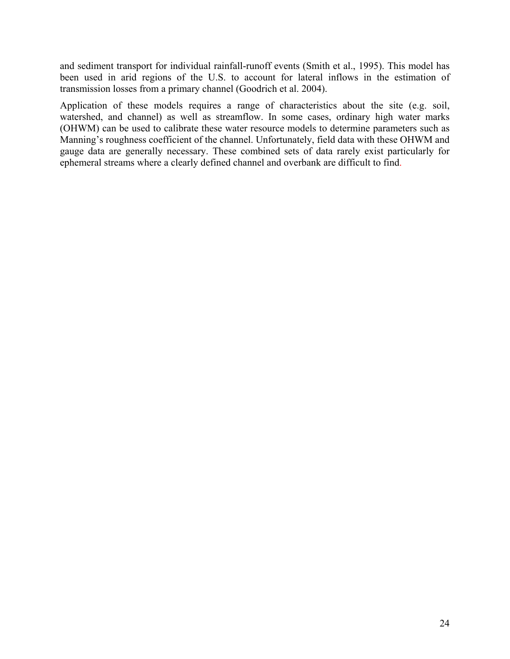and sediment transport for individual rainfall-runoff events (Smith et al., 1995). This model has been used in arid regions of the U.S. to account for lateral inflows in the estimation of transmission losses from a primary channel (Goodrich et al. 2004).

Application of these models requires a range of characteristics about the site (e.g. soil, watershed, and channel) as well as streamflow. In some cases, ordinary high water marks (OHWM) can be used to calibrate these water resource models to determine parameters such as Manning's roughness coefficient of the channel. Unfortunately, field data with these OHWM and gauge data are generally necessary. These combined sets of data rarely exist particularly for ephemeral streams where a clearly defined channel and overbank are difficult to find.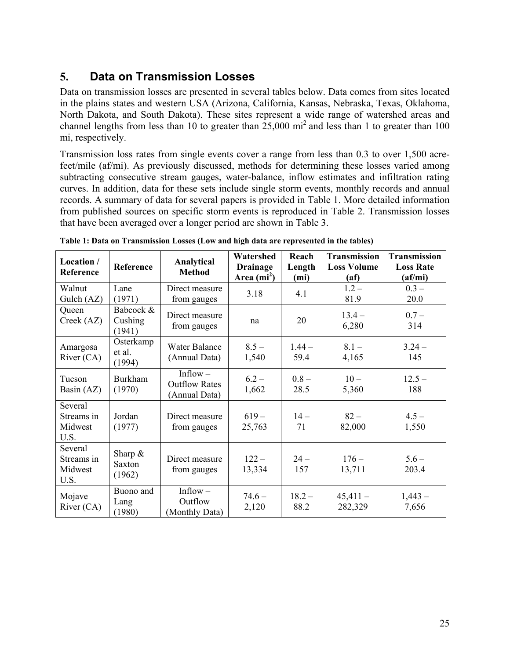# **5. Data on Transmission Losses**

Data on transmission losses are presented in several tables below. Data comes from sites located in the plains states and western USA (Arizona, California, Kansas, Nebraska, Texas, Oklahoma, North Dakota, and South Dakota). These sites represent a wide range of watershed areas and channel lengths from less than 10 to greater than  $25,000$  mi<sup>2</sup> and less than 1 to greater than 100 mi, respectively.

Transmission loss rates from single events cover a range from less than 0.3 to over 1,500 acrefeet/mile (af/mi). As previously discussed, methods for determining these losses varied among subtracting consecutive stream gauges, water-balance, inflow estimates and infiltration rating curves. In addition, data for these sets include single storm events, monthly records and annual records. A summary of data for several papers is provided in Table 1. More detailed information from published sources on specific storm events is reproduced in Table 2. Transmission losses that have been averaged over a longer period are shown in Table 3.

| Location /<br>Reference                  | Reference                      | Analytical<br><b>Method</b>                         | Watershed<br><b>Drainage</b><br>Area $(mi^2)$ | Reach<br>Length<br>(mi) | <b>Transmission</b><br><b>Loss Volume</b><br>(af) | <b>Transmission</b><br><b>Loss Rate</b><br>(af/mi) |
|------------------------------------------|--------------------------------|-----------------------------------------------------|-----------------------------------------------|-------------------------|---------------------------------------------------|----------------------------------------------------|
| Walnut<br>Gulch $(AZ)$                   | Lane<br>(1971)                 | Direct measure<br>from gauges                       | 3.18                                          | 4.1                     | $1.2 -$<br>81.9                                   | $0.3 -$<br>20.0                                    |
| Queen<br>Creek (AZ)                      | Babcock &<br>Cushing<br>(1941) | Direct measure<br>from gauges                       | na                                            | 20                      | $13.4 -$<br>6,280                                 | $0.7 -$<br>314                                     |
| Amargosa<br>River $(CA)$                 | Osterkamp<br>et al.<br>(1994)  | <b>Water Balance</b><br>(Annual Data)               | $8.5 -$<br>1,540                              | $1.44 -$<br>59.4        | $8.1 -$<br>4,165                                  | $3.24 -$<br>145                                    |
| Tucson<br>Basin (AZ)                     | <b>Burkham</b><br>(1970)       | Inflow $-$<br><b>Outflow Rates</b><br>(Annual Data) | $6.2 -$<br>1,662                              | $0.8 -$<br>28.5         | $10-$<br>5,360                                    | $12.5 -$<br>188                                    |
| Several<br>Streams in<br>Midwest<br>U.S. | Jordan<br>(1977)               | Direct measure<br>from gauges                       | $619-$<br>25,763                              | $14 -$<br>71            | $82 -$<br>82,000                                  | $4.5 -$<br>1,550                                   |
| Several<br>Streams in<br>Midwest<br>U.S. | Sharp $\&$<br>Saxton<br>(1962) | Direct measure<br>from gauges                       | $122 -$<br>13,334                             | $24 -$<br>157           | $176 -$<br>13,711                                 | $5.6 -$<br>203.4                                   |
| Mojave<br>River $(CA)$                   | Buono and<br>Lang<br>(1980)    | Inflow $-$<br>Outflow<br>(Monthly Data)             | $74.6 -$<br>2,120                             | $18.2 -$<br>88.2        | $45,411-$<br>282,329                              | $1,443-$<br>7,656                                  |

**Table 1: Data on Transmission Losses (Low and high data are represented in the tables)**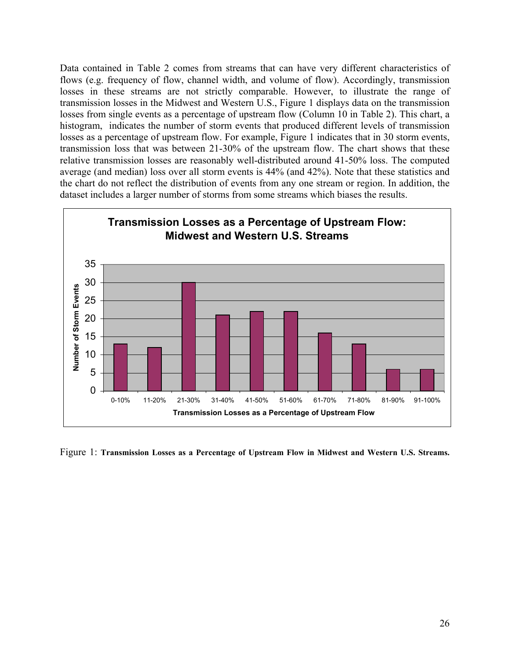Data contained in Table 2 comes from streams that can have very different characteristics of flows (e.g. frequency of flow, channel width, and volume of flow). Accordingly, transmission losses in these streams are not strictly comparable. However, to illustrate the range of transmission losses in the Midwest and Western U.S., Figure 1 displays data on the transmission losses from single events as a percentage of upstream flow (Column 10 in Table 2). This chart, a histogram, indicates the number of storm events that produced different levels of transmission losses as a percentage of upstream flow. For example, Figure 1 indicates that in 30 storm events, transmission loss that was between 21-30% of the upstream flow. The chart shows that these relative transmission losses are reasonably well-distributed around 41-50% loss. The computed average (and median) loss over all storm events is 44% (and 42%). Note that these statistics and the chart do not reflect the distribution of events from any one stream or region. In addition, the dataset includes a larger number of storms from some streams which biases the results.



Figure 1: **Transmission Losses as a Percentage of Upstream Flow in Midwest and Western U.S. Streams.**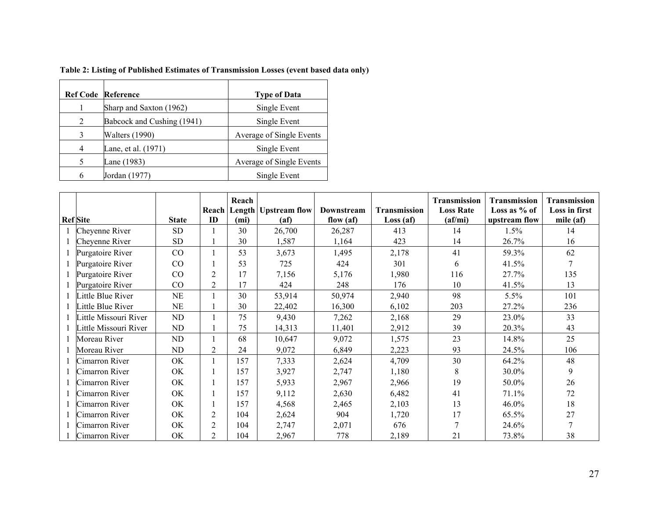|   | <b>Ref Code Reference</b>  | <b>Type of Data</b>      |
|---|----------------------------|--------------------------|
|   | Sharp and Saxton (1962)    | Single Event             |
| 2 | Babcock and Cushing (1941) | Single Event             |
| 3 | <b>Walters (1990)</b>      | Average of Single Events |
| 4 | Lane, et al. (1971)        | Single Event             |
| 5 | Lane (1983)                | Average of Single Events |
| 6 | Jordan (1977)              | Single Event             |

| <b>Ref</b> Site      | <b>State</b> | Reach<br>ID    | Reach<br>(mi) | Length   Upstream flow | Downstream<br>flow $(af)$<br>(a f) |       | Transmission<br>Transmission<br><b>Loss Rate</b><br>$\textbf{(af/mi)}$<br>Loss(af) |                       | <b>Transmission</b><br>Loss in first<br>mile $(af)$ |
|----------------------|--------------|----------------|---------------|------------------------|------------------------------------|-------|------------------------------------------------------------------------------------|-----------------------|-----------------------------------------------------|
| Cheyenne River       | <b>SD</b>    |                | 30            | 26,700                 | 26,287                             | 413   | 14                                                                                 | upstream flow<br>1.5% | 14                                                  |
| Cheyenne River       | <b>SD</b>    |                | 30            | 1,587                  | 1,164                              | 423   | 14                                                                                 | 26.7%                 | 16                                                  |
| Purgatoire River     | $\rm CO$     |                | 53            | 3,673                  | 1,495                              | 2,178 | 41                                                                                 | 59.3%                 | 62                                                  |
| Purgatoire River     | CO           |                | 53            | 725                    | 424                                | 301   | 6                                                                                  | 41.5%                 |                                                     |
| Purgatoire River     | CO           | $\overline{2}$ | 17            | 7,156                  | 5,176                              | 1,980 | 116                                                                                | 27.7%                 | 135                                                 |
| Purgatoire River     | $\rm CO$     | $\overline{2}$ | 17            | 424                    | 248                                | 176   | 10                                                                                 | 41.5%                 | 13                                                  |
| ittle Blue River     | NE           |                | 30            | 53,914                 | 50,974                             | 2,940 | 98                                                                                 | 5.5%                  | 101                                                 |
| ittle Blue River     | NE           |                | 30            | 22,402                 | 16,300                             | 6,102 | 203                                                                                | 27.2%                 | 236                                                 |
| ittle Missouri River | ND           |                | 75            | 9,430                  | 7,262                              | 2,168 | 29                                                                                 | 23.0%                 | 33                                                  |
| ittle Missouri River | ND.          |                | 75            | 14,313                 | 11,401                             | 2,912 | 39                                                                                 | 20.3%                 | 43                                                  |
| Moreau River         | ND           |                | 68            | 10,647                 | 9,072                              | 1,575 | 23                                                                                 | 14.8%                 | 25                                                  |
| Moreau River         | ND.          | $\overline{2}$ | 24            | 9,072                  | 6,849                              | 2,223 | 93                                                                                 | 24.5%                 | 106                                                 |
| Cimarron River       | OK           |                | 157           | 7,333                  | 2,624                              | 4,709 | 30                                                                                 | 64.2%                 | 48                                                  |
| Cimarron River       | OK           |                | 157           | 3,927                  | 2,747                              | 1,180 | 8                                                                                  | 30.0%                 | 9                                                   |
| Cimarron River       | OK           |                | 157           | 5,933                  | 2,967                              | 2,966 | 19                                                                                 | 50.0%                 | 26                                                  |
| Cimarron River       | OK           |                | 157           | 9,112                  | 2,630                              | 6,482 | 41                                                                                 | 71.1%                 | 72                                                  |
| Cimarron River       | OK           |                | 157           | 4,568                  | 2,465                              | 2,103 | 13                                                                                 | 46.0%                 | 18                                                  |
| Cimarron River       | OK           | $\overline{2}$ | 104           | 2,624                  | 904                                | 1,720 | 17                                                                                 | 65.5%                 | 27                                                  |
| Cimarron River       | OK           | $\overline{2}$ | 104           | 2,747                  | 2,071                              | 676   |                                                                                    | 24.6%                 |                                                     |
| Cimarron River       | OK           | 2              | 104           | 2,967                  | 778                                | 2,189 | 21                                                                                 | 73.8%                 | 38                                                  |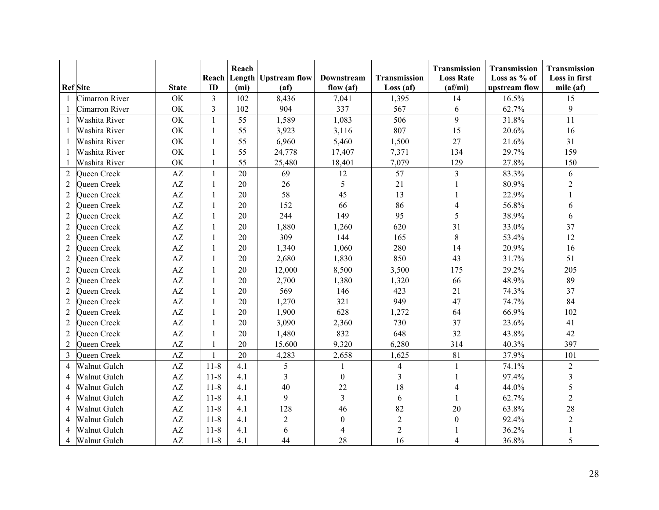| <b>Ref</b> Site |                     | <b>State</b>           | Reach<br>ID    | Reach<br>(m <sub>i</sub> ) | <b>Length Upstream flow</b><br>(a f) | Downstream<br>flow $(af)$ | Transmission<br>Loss(af) | Transmission<br><b>Loss Rate</b><br>(a f/mi) | Transmission<br>Loss as % of<br>upstream flow | Transmission<br>Loss in first<br>mile (af) |
|-----------------|---------------------|------------------------|----------------|----------------------------|--------------------------------------|---------------------------|--------------------------|----------------------------------------------|-----------------------------------------------|--------------------------------------------|
| $\mathbf{1}$    | Cimarron River      | OK                     | $\overline{3}$ | 102                        | 8,436                                | 7,041                     | 1,395                    | 14                                           | 16.5%                                         | 15                                         |
|                 | Cimarron River      | OK                     | $\mathfrak{Z}$ | 102                        | 904                                  | 337                       | 567                      | 6                                            | 62.7%                                         | 9                                          |
| $\mathbf{1}$    | Washita River       | OK                     | $\mathbf{1}$   | 55                         | 1,589                                | 1,083                     | 506                      | 9                                            | 31.8%                                         | 11                                         |
| 1               | Washita River       | OK                     | $\mathbf{1}$   | 55                         | 3,923                                | 3,116                     | 807                      | 15                                           | 20.6%                                         | 16                                         |
|                 | Washita River       | OK                     | $\mathbf{1}$   | 55                         | 6,960                                | 5,460                     | 1,500                    | 27                                           | 21.6%                                         | 31                                         |
|                 | Washita River       | OK                     | $\mathbf{1}$   | 55                         | 24,778                               | 17,407                    | 7,371                    | 134                                          | 29.7%                                         | 159                                        |
|                 | Washita River       | OK                     | $\mathbf{1}$   | 55                         | 25,480                               | 18,401                    | 7,079                    | 129                                          | 27.8%                                         | 150                                        |
| $\overline{2}$  | Queen Creek         | AZ                     | $\mathbf{1}$   | 20                         | 69                                   | 12                        | 57                       | $\overline{3}$                               | 83.3%                                         | 6                                          |
| $\mathfrak{2}$  | Queen Creek         | $\mathbf{A}\mathbf{Z}$ | 1              | 20                         | 26                                   | 5                         | 21                       |                                              | 80.9%                                         | $\overline{2}$                             |
| $\overline{2}$  | Queen Creek         | $\mathbf{A}\mathbf{Z}$ | 1              | 20                         | 58                                   | 45                        | 13                       |                                              | 22.9%                                         |                                            |
| $\overline{2}$  | Queen Creek         | $\mathbf{A}\mathbf{Z}$ | 1              | 20                         | 152                                  | 66                        | 86                       | 4                                            | 56.8%                                         | 6                                          |
| $\overline{2}$  | Queen Creek         | $\mathbf{A}\mathbf{Z}$ | 1              | 20                         | 244                                  | 149                       | 95                       | 5                                            | 38.9%                                         | 6                                          |
| $\overline{2}$  | Queen Creek         | AZ                     | 1              | 20                         | 1,880                                | 1,260                     | 620                      | 31                                           | 33.0%                                         | 37                                         |
| $\overline{2}$  | Queen Creek         | $\mathbf{A}\mathbf{Z}$ | 1              | 20                         | 309                                  | 144                       | 165                      | $\,8\,$                                      | 53.4%                                         | 12                                         |
| 2               | Queen Creek         | $\mathbf{A}\mathbf{Z}$ | 1              | 20                         | 1,340                                | 1,060                     | 280                      | 14                                           | 20.9%                                         | 16                                         |
| $\overline{2}$  | Queen Creek         | $\mathbf{A}\mathbf{Z}$ | $\mathbf{1}$   | 20                         | 2,680                                | 1,830                     | 850                      | 43                                           | 31.7%                                         | 51                                         |
| $\overline{2}$  | Queen Creek         | $\mathbf{A}\mathbf{Z}$ | $\mathbf{1}$   | 20                         | 12,000                               | 8,500                     | 3,500                    | 175                                          | 29.2%                                         | 205                                        |
| $\overline{2}$  | Queen Creek         | $\mathbf{A}\mathbf{Z}$ | $\mathbf{1}$   | 20                         | 2,700                                | 1,380                     | 1,320                    | 66                                           | 48.9%                                         | 89                                         |
| $\overline{2}$  | Queen Creek         | $\mathbf{A}\mathbf{Z}$ | $\mathbf{1}$   | 20                         | 569                                  | 146                       | 423                      | 21                                           | 74.3%                                         | 37                                         |
| $\overline{2}$  | Queen Creek         | $\mathbf{A}\mathbf{Z}$ | $\mathbf{1}$   | 20                         | 1,270                                | 321                       | 949                      | 47                                           | 74.7%                                         | 84                                         |
| $\overline{2}$  | Queen Creek         | $\mathbf{A}\mathbf{Z}$ | $\mathbf{1}$   | 20                         | 1,900                                | 628                       | 1,272                    | 64                                           | 66.9%                                         | 102                                        |
| $\overline{2}$  | Queen Creek         | $\mathbf{A}\mathbf{Z}$ | $\mathbf{1}$   | 20                         | 3,090                                | 2,360                     | 730                      | 37                                           | 23.6%                                         | 41                                         |
| $\overline{2}$  | Queen Creek         | AZ                     | 1              | 20                         | 1,480                                | 832                       | 648                      | 32                                           | 43.8%                                         | 42                                         |
| $\overline{2}$  | Queen Creek         | $\mathbf{A}\mathbf{Z}$ | $\mathbf{1}$   | 20                         | 15,600                               | 9,320                     | 6,280                    | 314                                          | 40.3%                                         | 397                                        |
| 3               | Queen Creek         | AZ                     | 1              | 20                         | 4,283                                | 2,658                     | 1,625                    | 81                                           | 37.9%                                         | 101                                        |
| $\overline{4}$  | Walnut Gulch        | AZ                     | $11 - 8$       | 4.1                        | 5                                    | $\mathbf{1}$              | $\overline{4}$           | 1                                            | 74.1%                                         | $\overline{2}$                             |
| 4               | Walnut Gulch        | AZ                     | $11 - 8$       | 4.1                        | 3                                    | $\boldsymbol{0}$          | 3                        |                                              | 97.4%                                         | $\overline{\mathbf{3}}$                    |
| 4               | Walnut Gulch        | AZ                     | $11 - 8$       | 4.1                        | 40                                   | 22                        | 18                       |                                              | 44.0%                                         | 5                                          |
| 4               | <b>Walnut Gulch</b> | AZ                     | $11 - 8$       | 4.1                        | 9                                    | $\overline{3}$            | 6                        |                                              | 62.7%                                         | $\overline{2}$                             |
| 4               | <b>Walnut Gulch</b> | AZ                     | $11 - 8$       | 4.1                        | 128                                  | 46                        | 82                       | 20                                           | 63.8%                                         | 28                                         |
| 4               | <b>Walnut Gulch</b> | AZ                     | $11 - 8$       | 4.1                        | $\overline{2}$                       | $\theta$                  | $\overline{c}$           | $\boldsymbol{0}$                             | 92.4%                                         | $\sqrt{2}$                                 |
| 4               | Walnut Gulch        | $\mathbf{A}\mathbf{Z}$ | $11 - 8$       | 4.1                        | 6                                    | 4                         | $\overline{2}$           |                                              | 36.2%                                         |                                            |
| 4               | Walnut Gulch        | AZ                     | $11 - 8$       | 4.1                        | 44                                   | 28                        | 16                       | 4                                            | 36.8%                                         | 5                                          |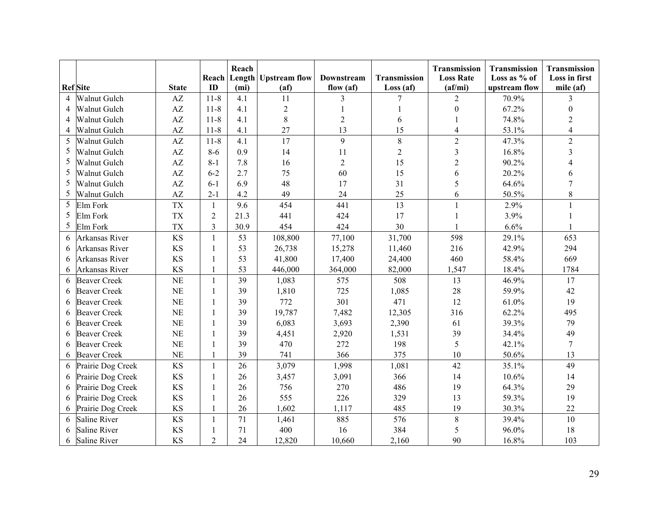|   |                     |                        | Reach          | Reach             | Length Upstream flow | Downstream     | Transmission   | Transmission<br><b>Loss Rate</b> | Transmission<br>Loss as % of | Transmission<br>Loss in first |
|---|---------------------|------------------------|----------------|-------------------|----------------------|----------------|----------------|----------------------------------|------------------------------|-------------------------------|
|   | <b>Ref</b> Site     | <b>State</b>           | ID             | (m <sub>i</sub> ) | (a <sub>f</sub> )    | flow (af)      | Loss(af)       | (af/mi)                          | upstream flow                | mile (af)                     |
| 4 | Walnut Gulch        | AZ                     | $11 - 8$       | 4.1               | 11                   | 3              | 7              | $\overline{2}$                   | 70.9%                        | 3                             |
| 4 | Walnut Gulch        | AZ                     | $11-8$         | 4.1               | $\overline{2}$       |                |                | $\boldsymbol{0}$                 | 67.2%                        | $\theta$                      |
| 4 | Walnut Gulch        | AZ                     | $11 - 8$       | 4.1               | $\,8\,$              | $\overline{2}$ | 6              |                                  | 74.8%                        | $\overline{2}$                |
| 4 | Walnut Gulch        | AZ                     | $11 - 8$       | 4.1               | 27                   | 13             | 15             | $\overline{4}$                   | 53.1%                        | $\overline{\mathbf{4}}$       |
| 5 | Walnut Gulch        | AZ                     | $11 - 8$       | 4.1               | 17                   | 9              | 8              | $\overline{2}$                   | 47.3%                        | $\overline{2}$                |
| 5 | Walnut Gulch        | $\mathbf{A}\mathbf{Z}$ | $8 - 6$        | 0.9               | 14                   | 11             | $\overline{c}$ | 3                                | 16.8%                        | $\overline{3}$                |
| 5 | Walnut Gulch        | AZ                     | $8 - 1$        | 7.8               | 16                   | $\overline{2}$ | 15             | $\overline{2}$                   | 90.2%                        | 4                             |
| 5 | Walnut Gulch        | AZ                     | $6 - 2$        | 2.7               | 75                   | 60             | 15             | 6                                | 20.2%                        | 6                             |
| 5 | Walnut Gulch        | AZ                     | $6 - 1$        | 6.9               | 48                   | 17             | 31             | 5                                | 64.6%                        | $\overline{7}$                |
| 5 | Walnut Gulch        | AZ                     | $2 - 1$        | 4.2               | 49                   | 24             | 25             | 6                                | 50.5%                        | 8                             |
| 5 | Elm Fork            | <b>TX</b>              | 1              | 9.6               | 454                  | 441            | 13             |                                  | 2.9%                         | $\mathbf{1}$                  |
| 5 | Elm Fork            | <b>TX</b>              | $\overline{2}$ | 21.3              | 441                  | 424            | 17             |                                  | 3.9%                         |                               |
| 5 | Elm Fork            | <b>TX</b>              | $\overline{3}$ | 30.9              | 454                  | 424            | 30             |                                  | 6.6%                         |                               |
| 6 | Arkansas River      | <b>KS</b>              | $\mathbf{1}$   | 53                | 108,800              | 77,100         | 31,700         | 598                              | 29.1%                        | 653                           |
| 6 | Arkansas River      | <b>KS</b>              | 1              | 53                | 26,738               | 15,278         | 11,460         | 216                              | 42.9%                        | 294                           |
| 6 | Arkansas River      | <b>KS</b>              | 1              | 53                | 41,800               | 17,400         | 24,400         | 460                              | 58.4%                        | 669                           |
| 6 | Arkansas River      | <b>KS</b>              | $\mathbf{1}$   | 53                | 446,000              | 364,000        | 82,000         | 1,547                            | 18.4%                        | 1784                          |
| 6 | <b>Beaver Creek</b> | <b>NE</b>              | $\mathbf{1}$   | 39                | 1,083                | 575            | 508            | 13                               | 46.9%                        | 17                            |
| 6 | <b>Beaver Creek</b> | <b>NE</b>              | $\mathbf{1}$   | 39                | 1,810                | 725            | 1,085          | 28                               | 59.9%                        | 42                            |
| 6 | <b>Beaver Creek</b> | <b>NE</b>              | $\mathbf{1}$   | 39                | 772                  | 301            | 471            | 12                               | 61.0%                        | 19                            |
| 6 | <b>Beaver Creek</b> | <b>NE</b>              | $\mathbf{1}$   | 39                | 19,787               | 7,482          | 12,305         | 316                              | 62.2%                        | 495                           |
| 6 | <b>Beaver Creek</b> | <b>NE</b>              | 1              | 39                | 6,083                | 3,693          | 2,390          | 61                               | 39.3%                        | 79                            |
| 6 | <b>Beaver Creek</b> | <b>NE</b>              | 1              | 39                | 4,451                | 2,920          | 1,531          | 39                               | 34.4%                        | 49                            |
| 6 | <b>Beaver Creek</b> | <b>NE</b>              | 1              | 39                | 470                  | 272            | 198            | 5                                | 42.1%                        | $\overline{7}$                |
| 6 | <b>Beaver Creek</b> | <b>NE</b>              | 1              | 39                | 741                  | 366            | 375            | 10                               | 50.6%                        | 13                            |
| 6 | Prairie Dog Creek   | <b>KS</b>              | $\mathbf{1}$   | 26                | 3,079                | 1,998          | 1,081          | 42                               | 35.1%                        | 49                            |
| 6 | Prairie Dog Creek   | <b>KS</b>              | 1              | 26                | 3,457                | 3,091          | 366            | 14                               | 10.6%                        | 14                            |
| 6 | Prairie Dog Creek   | <b>KS</b>              | 1              | 26                | 756                  | 270            | 486            | 19                               | 64.3%                        | 29                            |
| 6 | Prairie Dog Creek   | <b>KS</b>              | 1              | 26                | 555                  | 226            | 329            | 13                               | 59.3%                        | 19                            |
| 6 | Prairie Dog Creek   | <b>KS</b>              | 1              | 26                | 1,602                | 1,117          | 485            | 19                               | 30.3%                        | 22                            |
| 6 | <b>Saline River</b> | <b>KS</b>              | $\mathbf{1}$   | 71                | 1,461                | 885            | 576            | 8                                | 39.4%                        | 10                            |
| 6 | <b>Saline River</b> | <b>KS</b>              | 1              | 71                | 400                  | 16             | 384            | 5                                | 96.0%                        | 18                            |
| 6 | Saline River        | <b>KS</b>              | $\overline{2}$ | 24                | 12,820               | 10,660         | 2,160          | 90                               | 16.8%                        | 103                           |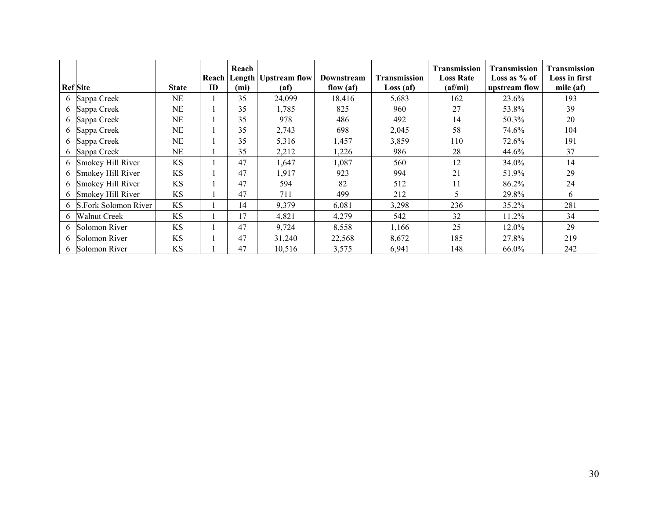|   | <b>Ref</b> Site        | <b>State</b> | <b>ID</b> | Reach<br>(mi) | <b>Reach Length Upstream flow</b><br>(a f) | Downstream<br>flow $(af)$ | <b>Transmission</b><br>Loss (af) | <b>Transmission</b><br><b>Loss Rate</b><br>$\textbf{(af/mi)}$ | Transmission<br>Loss as $%$ of<br>upstream flow | Transmission<br>Loss in first<br>mile (af) |
|---|------------------------|--------------|-----------|---------------|--------------------------------------------|---------------------------|----------------------------------|---------------------------------------------------------------|-------------------------------------------------|--------------------------------------------|
| 6 | Sappa Creek            | NE           |           | 35            | 24,099                                     | 18,416                    | 5,683                            | 162                                                           | 23.6%                                           | 193                                        |
| 6 | Sappa Creek            | NΕ           |           | 35            | 1,785                                      | 825                       | 960                              | 27                                                            | 53.8%                                           | 39                                         |
|   | 6 Sappa Creek          | NΕ           |           | 35            | 978                                        | 486                       | 492                              | 14                                                            | 50.3%                                           | 20                                         |
|   | 6 Sappa Creek          | NΕ           |           | 35            | 2,743                                      | 698                       | 2,045                            | 58                                                            | 74.6%                                           | 104                                        |
|   | 6 Sappa Creek          | NE           |           | 35            | 5,316                                      | 1,457                     | 3,859                            | 110                                                           | 72.6%                                           | 191                                        |
|   | 6 Sappa Creek          | NE           |           | 35            | 2,212                                      | 1,226                     | 986                              | 28                                                            | 44.6%                                           | 37                                         |
|   | 6 Smokey Hill River    | <b>KS</b>    |           | 47            | 1,647                                      | 1,087                     | 560                              | 12                                                            | 34.0%                                           | 14                                         |
| 6 | Smokey Hill River      | KS           |           | 47            | 1,917                                      | 923                       | 994                              | 21                                                            | 51.9%                                           | 29                                         |
| 6 | Smokey Hill River      | <b>KS</b>    |           | 47            | 594                                        | 82                        | 512                              | 11                                                            | 86.2%                                           | 24                                         |
| 6 | Smokey Hill River      | <b>KS</b>    |           | 47            | 711                                        | 499                       | 212                              | 5.                                                            | 29.8%                                           | 6                                          |
|   | 6 S.Fork Solomon River | <b>KS</b>    |           | 14            | 9,379                                      | 6,081                     | 3,298                            | 236                                                           | 35.2%                                           | 281                                        |
| 6 | Walnut Creek           | <b>KS</b>    |           | 17            | 4,821                                      | 4,279                     | 542                              | 32                                                            | 11.2%                                           | 34                                         |
| 6 | Solomon River          | <b>KS</b>    |           | 47            | 9,724                                      | 8,558                     | 1,166                            | 25                                                            | 12.0%                                           | 29                                         |
| 6 | Solomon River          | <b>KS</b>    |           | 47            | 31,240                                     | 22,568                    | 8,672                            | 185                                                           | 27.8%                                           | 219                                        |
|   | 6 Solomon River        | <b>KS</b>    |           | 47            | 10,516                                     | 3,575                     | 6,941                            | 148                                                           | 66.0%                                           | 242                                        |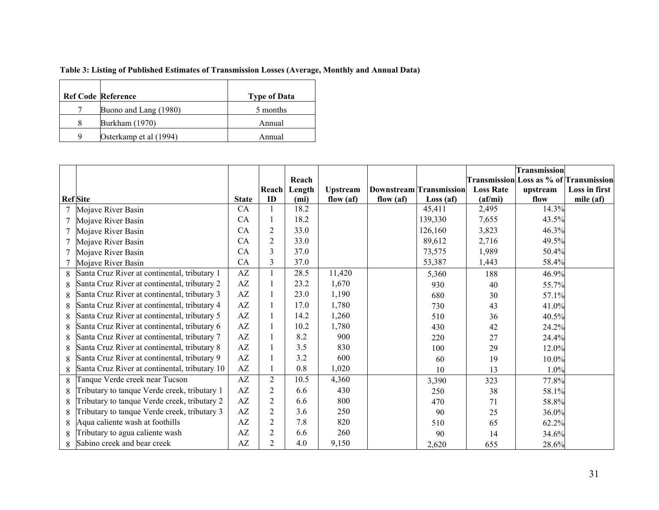#### **Table 3: Listing of Published Estimates of Transmission Losses (Average, Monthly and Annual Data)**

|   | <b>Ref Code Reference</b> | <b>Type of Data</b> |
|---|---------------------------|---------------------|
|   | Buono and Lang (1980)     | 5 months            |
| 8 | Burkham (1970)            | Annual              |
| Q | Osterkamp et al (1994)    | Annual              |

|                 |                                               |              |                |        |                 |             |                                |                  | <b>Transmission</b>                           |               |
|-----------------|-----------------------------------------------|--------------|----------------|--------|-----------------|-------------|--------------------------------|------------------|-----------------------------------------------|---------------|
|                 |                                               |              |                | Reach  |                 |             |                                |                  | <b>Transmission</b> Loss as % of Transmission |               |
|                 |                                               |              | Reach          | Length | <b>Upstream</b> |             | <b>Downstream Transmission</b> | <b>Loss Rate</b> | upstream                                      | Loss in first |
| <b>Ref</b> Site |                                               | <b>State</b> | ID             | (mi)   | flow $(af)$     | flow $(af)$ | Loss(af)                       | (a f / mi)       | flow                                          | mile (af)     |
|                 | Mojave River Basin                            | CA           |                | 18.2   |                 |             | 45,411                         | 2,495            | 14.3%                                         |               |
|                 | Mojave River Basin                            | CA           | 1              | 18.2   |                 |             | 139,330                        | 7,655            | 43.5%                                         |               |
| 7               | Mojave River Basin                            | CA           | $\overline{2}$ | 33.0   |                 |             | 126,160                        | 3,823            | 46.3%                                         |               |
|                 | Mojave River Basin                            | CA           | $\overline{2}$ | 33.0   |                 |             | 89,612                         | 2,716            | 49.5%                                         |               |
|                 | Mojave River Basin                            | CA           | 3              | 37.0   |                 |             | 73,575                         | 1,989            | 50.4%                                         |               |
|                 | Mojave River Basin                            | CA           | 3              | 37.0   |                 |             | 53,387                         | 1,443            | 58.4%                                         |               |
| 8               | Santa Cruz River at continental, tributary 1  | AZ           |                | 28.5   | 11,420          |             | 5,360                          | 188              | 46.9%                                         |               |
| 8               | Santa Cruz River at continental, tributary 2  | AZ           |                | 23.2   | 1,670           |             | 930                            | 40               | 55.7%                                         |               |
| 8               | Santa Cruz River at continental, tributary 3  | AZ           |                | 23.0   | 1,190           |             | 680                            | 30               | 57.1%                                         |               |
| 8               | Santa Cruz River at continental, tributary 4  | AZ           |                | 17.0   | 1,780           |             | 730                            | 43               | 41.0%                                         |               |
| 8               | Santa Cruz River at continental, tributary 5  | AZ           |                | 14.2   | 1,260           |             | 510                            | 36               | 40.5%                                         |               |
| 8               | Santa Cruz River at continental, tributary 6  | AZ           |                | 10.2   | 1,780           |             | 430                            | 42               | 24.2%                                         |               |
| 8               | Santa Cruz River at continental, tributary 7  | AZ           |                | 8.2    | 900             |             | 220                            | 27               | 24.4%                                         |               |
| 8               | Santa Cruz River at continental, tributary 8  | AZ           |                | 3.5    | 830             |             | 100                            | 29               | 12.0%                                         |               |
| 8               | Santa Cruz River at continental, tributary 9  | AZ           |                | 3.2    | 600             |             | 60                             | 19               | $10.0\%$                                      |               |
| 8               | Santa Cruz River at continental, tributary 10 | AZ           |                | 0.8    | 1,020           |             | 10                             | 13               | 1.0%                                          |               |
| 8               | Tanque Verde creek near Tucson                | AZ           | $\overline{2}$ | 10.5   | 4,360           |             | 3,390                          | 323              | 77.8%                                         |               |
| 8               | Tributary to tanque Verde creek, tributary 1  | AZ           | 2              | 6.6    | 430             |             | 250                            | 38               | 58.1%                                         |               |
| 8               | Tributary to tanque Verde creek, tributary 2  | AZ           | $\overline{c}$ | 6.6    | 800             |             | 470                            | 71               | 58.8%                                         |               |
| 8               | Tributary to tanque Verde creek, tributary 3  | AZ           | $\overline{2}$ | 3.6    | 250             |             | 90                             | 25               | 36.0%                                         |               |
| 8               | Aqua caliente wash at foothills               | AZ           | $\overline{c}$ | 7.8    | 820             |             | 510                            | 65               | 62.2%                                         |               |
| 8               | Tributary to agua caliente wash               | AZ           | $\overline{2}$ | 6.6    | 260             |             | 90                             | 14               | 34.6%                                         |               |
| 8               | Sabino creek and bear creek                   | AZ           | 2              | 4.0    | 9,150           |             | 2,620                          | 655              | 28.6%                                         |               |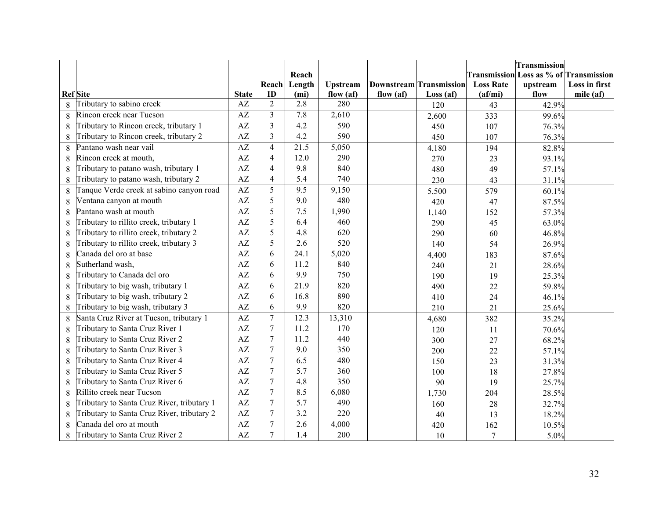|   |                                            |                        |                  |                   |                 |           |                                |                  | Transmission |                                               |
|---|--------------------------------------------|------------------------|------------------|-------------------|-----------------|-----------|--------------------------------|------------------|--------------|-----------------------------------------------|
|   |                                            |                        |                  | Reach             |                 |           |                                |                  |              | <b>Transmission Loss as % of Transmission</b> |
|   |                                            |                        | Reach            | Length            | <b>Upstream</b> |           | <b>Downstream Transmission</b> | <b>Loss Rate</b> | upstream     | Loss in first                                 |
|   | <b>Ref</b> Site                            | <b>State</b>           | ID               | (m <sub>i</sub> ) | flow $(af)$     | flow (af) | Loss(af)                       | (a f/mi)         | flow         | mile $(af)$                                   |
| 8 | Tributary to sabino creek                  | AZ                     | $\overline{2}$   | 2.8               | 280             |           | 120                            | 43               | 42.9%        |                                               |
| 8 | Rincon creek near Tucson                   | AZ                     | $\overline{3}$   | 7.8               | 2,610           |           | 2,600                          | 333              | 99.6%        |                                               |
| 8 | Tributary to Rincon creek, tributary 1     | $\mathbf{A}\mathbf{Z}$ | $\overline{3}$   | 4.2               | 590             |           | 450                            | 107              | 76.3%        |                                               |
| 8 | Tributary to Rincon creek, tributary 2     | $\mathbf{A}\mathbf{Z}$ | 3                | 4.2               | 590             |           | 450                            | 107              | 76.3%        |                                               |
| 8 | Pantano wash near vail                     | $\mathbf{A}\mathbf{Z}$ | $\overline{4}$   | 21.5              | 5,050           |           | 4,180                          | 194              | 82.8%        |                                               |
| 8 | Rincon creek at mouth,                     | $\mathbf{A}\mathbf{Z}$ | $\overline{4}$   | 12.0              | 290             |           | 270                            | 23               | 93.1%        |                                               |
| 8 | Tributary to patano wash, tributary 1      | $\mathbf{A}\mathbf{Z}$ | $\overline{4}$   | 9.8               | 840             |           | 480                            | 49               | 57.1%        |                                               |
| 8 | Tributary to patano wash, tributary 2      | AZ                     | $\overline{4}$   | 5.4               | 740             |           | 230                            | 43               | 31.1%        |                                               |
| 8 | Tanque Verde creek at sabino canyon road   | $\overline{AZ}$        | $\overline{5}$   | $\overline{9.5}$  | 9,150           |           | 5,500                          | 579              | 60.1%        |                                               |
| 8 | Ventana canyon at mouth                    | $\mathbf{A}\mathbf{Z}$ | 5                | 9.0               | 480             |           | 420                            | 47               | 87.5%        |                                               |
| 8 | Pantano wash at mouth                      | AZ                     | 5                | 7.5               | 1,990           |           | 1,140                          | 152              | 57.3%        |                                               |
| 8 | Tributary to rillito creek, tributary 1    | AZ                     | 5                | 6.4               | 460             |           | 290                            | 45               | 63.0%        |                                               |
| 8 | Tributary to rillito creek, tributary 2    | $\mathbf{A}\mathbf{Z}$ | 5                | 4.8               | 620             |           | 290                            | 60               | 46.8%        |                                               |
| 8 | Tributary to rillito creek, tributary 3    | AZ                     | 5                | 2.6               | 520             |           | 140                            | 54               | 26.9%        |                                               |
| 8 | Canada del oro at base                     | $\mathbf{A}\mathbf{Z}$ | 6                | 24.1              | 5,020           |           | 4,400                          | 183              | 87.6%        |                                               |
| 8 | Sutherland wash,                           | $\mathbf{A}\mathbf{Z}$ | 6                | 11.2              | 840             |           | 240                            | 21               | 28.6%        |                                               |
| 8 | Tributary to Canada del oro                | $\mathbf{A}\mathbf{Z}$ | 6                | 9.9               | 750             |           | 190                            | 19               | 25.3%        |                                               |
| 8 | Tributary to big wash, tributary 1         | $\mathbf{A}\mathbf{Z}$ | 6                | 21.9              | 820             |           | 490                            | 22               | 59.8%        |                                               |
| 8 | Tributary to big wash, tributary 2         | AZ                     | 6                | 16.8              | 890             |           | 410                            | 24               | 46.1%        |                                               |
| 8 | Tributary to big wash, tributary 3         | AZ                     | 6                | 9.9               | 820             |           | 210                            | 21               | 25.6%        |                                               |
| 8 | Santa Cruz River at Tucson, tributary 1    | $\overline{AZ}$        | $\overline{7}$   | 12.3              | 13,310          |           | 4,680                          | 382              | 35.2%        |                                               |
| 8 | Tributary to Santa Cruz River 1            | $\mathbf{A}\mathbf{Z}$ | $\overline{7}$   | 11.2              | 170             |           | 120                            | 11               | 70.6%        |                                               |
| 8 | <b>Tributary to Santa Cruz River 2</b>     | AZ                     | $\overline{7}$   | 11.2              | 440             |           | 300                            | 27               | 68.2%        |                                               |
| 8 | Tributary to Santa Cruz River 3            | AZ                     | $\overline{7}$   | 9.0               | 350             |           | 200                            | 22               | 57.1%        |                                               |
| 8 | Tributary to Santa Cruz River 4            | AZ                     | 7                | 6.5               | 480             |           | 150                            | 23               | 31.3%        |                                               |
| 8 | Tributary to Santa Cruz River 5            | $\mathbf{A}\mathbf{Z}$ | $\overline{7}$   | 5.7               | 360             |           | 100                            | 18               | 27.8%        |                                               |
| 8 | Tributary to Santa Cruz River 6            | $\mathbf{A}\mathbf{Z}$ | $\overline{7}$   | 4.8               | 350             |           | 90                             | 19               | 25.7%        |                                               |
| 8 | Rillito creek near Tucson                  | AZ                     | 7                | 8.5               | 6,080           |           | 1,730                          | 204              | 28.5%        |                                               |
| 8 | Tributary to Santa Cruz River, tributary 1 | $\mathbf{A}\mathbf{Z}$ | $\overline{7}$   | 5.7               | 490             |           | 160                            | 28               | 32.7%        |                                               |
| 8 | Tributary to Santa Cruz River, tributary 2 | $\mathbf{A}\mathbf{Z}$ | $\boldsymbol{7}$ | 3.2               | 220             |           | 40                             | 13               | 18.2%        |                                               |
| 8 | Canada del oro at mouth                    | AZ                     | $\overline{7}$   | 2.6               | 4,000           |           | 420                            | 162              | 10.5%        |                                               |
| 8 | Tributary to Santa Cruz River 2            | AZ                     | $\overline{7}$   | 1.4               | 200             |           | 10                             | $\overline{7}$   | 5.0%         |                                               |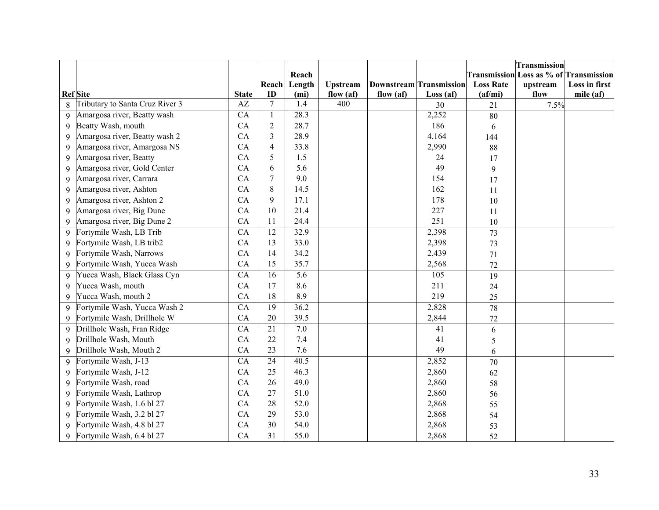|              |                                 |                 |                      |                          |                                 |           |                                |                                               | Transmission |               |
|--------------|---------------------------------|-----------------|----------------------|--------------------------|---------------------------------|-----------|--------------------------------|-----------------------------------------------|--------------|---------------|
|              |                                 |                 |                      | Reach                    |                                 |           |                                | <b>Transmission Loss as % of Transmission</b> |              |               |
|              |                                 |                 | Reach                | Length                   | <b>Upstream</b>                 |           | <b>Downstream</b> Transmission | <b>Loss Rate</b>                              | upstream     | Loss in first |
|              | <b>Ref</b> Site                 | <b>State</b>    | ID<br>$\overline{7}$ | (m <sub>i</sub> )<br>1.4 | flow $(af)$<br>$\overline{400}$ | flow (af) | Loss(af)                       | (a f/mi)                                      | flow         | mile $(af)$   |
| 8            | Tributary to Santa Cruz River 3 | AZ              |                      |                          |                                 |           | 30                             | 21                                            | 7.5%         |               |
| 9            | Amargosa river, Beatty wash     | CA              | $\mathbf{1}$         | 28.3                     |                                 |           | 2,252                          | 80                                            |              |               |
| 9            | Beatty Wash, mouth              | CA              | $\overline{2}$       | 28.7                     |                                 |           | 186                            | 6                                             |              |               |
| 9            | Amargosa river, Beatty wash 2   | CA              | $\overline{3}$       | 28.9                     |                                 |           | 4,164                          | 144                                           |              |               |
| 9            | Amargosa river, Amargosa NS     | CA              | $\overline{4}$       | 33.8                     |                                 |           | 2,990                          | 88                                            |              |               |
| 9            | Amargosa river, Beatty          | CA              | 5                    | 1.5                      |                                 |           | 24                             | 17                                            |              |               |
| 9            | Amargosa river, Gold Center     | CA              | 6                    | 5.6                      |                                 |           | 49                             | 9                                             |              |               |
| 9            | Amargosa river, Carrara         | CA              | $\tau$               | 9.0                      |                                 |           | 154                            | 17                                            |              |               |
| 9            | Amargosa river, Ashton          | CA              | 8                    | 14.5                     |                                 |           | 162                            | 11                                            |              |               |
| 9            | Amargosa river, Ashton 2        | CA              | 9                    | 17.1                     |                                 |           | 178                            | 10                                            |              |               |
| $\mathbf Q$  | Amargosa river, Big Dune        | CA              | 10                   | 21.4                     |                                 |           | 227                            | 11                                            |              |               |
| 9            | Amargosa river, Big Dune 2      | CA              | 11                   | 24.4                     |                                 |           | 251                            | 10                                            |              |               |
| 9            | Fortymile Wash, LB Trib         | CA              | $\overline{12}$      | 32.9                     |                                 |           | 2,398                          | 73                                            |              |               |
| 9            | Fortymile Wash, LB trib2        | CA              | 13                   | 33.0                     |                                 |           | 2,398                          | 73                                            |              |               |
| 9            | Fortymile Wash, Narrows         | CA              | 14                   | 34.2                     |                                 |           | 2,439                          | 71                                            |              |               |
| 9            | Fortymile Wash, Yucca Wash      | CA              | 15                   | 35.7                     |                                 |           | 2,568                          | 72                                            |              |               |
| 9            | Yucca Wash, Black Glass Cyn     | CA              | 16                   | $\overline{5.6}$         |                                 |           | 105                            | 19                                            |              |               |
| 9            | Yucca Wash, mouth               | CA              | 17                   | 8.6                      |                                 |           | 211                            | 24                                            |              |               |
| 9            | Yucca Wash, mouth 2             | CA              | 18                   | 8.9                      |                                 |           | 219                            | 25                                            |              |               |
| $\mathbf{Q}$ | Fortymile Wash, Yucca Wash 2    | $\overline{CA}$ | $\overline{19}$      | 36.2                     |                                 |           | 2,828                          | 78                                            |              |               |
| 9            | Fortymile Wash, Drillhole W     | CA              | 20                   | 39.5                     |                                 |           | 2,844                          | 72                                            |              |               |
| 9            | Drillhole Wash, Fran Ridge      | CA              | $\overline{21}$      | 7.0                      |                                 |           | 41                             | 6                                             |              |               |
| 9            | Drillhole Wash, Mouth           | CA              | 22                   | 7.4                      |                                 |           | 41                             | $\sqrt{5}$                                    |              |               |
| 9            | Drillhole Wash, Mouth 2         | CA              | 23                   | 7.6                      |                                 |           | 49                             | 6                                             |              |               |
| 9            | Fortymile Wash, J-13            | CA              | $\overline{24}$      | 40.5                     |                                 |           | 2,852                          | 70                                            |              |               |
| 9            | Fortymile Wash, J-12            | CA              | 25                   | 46.3                     |                                 |           | 2,860                          | 62                                            |              |               |
| 9            | Fortymile Wash, road            | CA              | 26                   | 49.0                     |                                 |           | 2,860                          | 58                                            |              |               |
| 9            | Fortymile Wash, Lathrop         | CA              | 27                   | 51.0                     |                                 |           | 2,860                          | 56                                            |              |               |
| 9            | Fortymile Wash, 1.6 bl 27       | CA              | 28                   | 52.0                     |                                 |           | 2,868                          | 55                                            |              |               |
| 9            | Fortymile Wash, 3.2 bl 27       | CA              | 29                   | 53.0                     |                                 |           | 2,868                          | 54                                            |              |               |
| $\mathbf Q$  | Fortymile Wash, 4.8 bl 27       | CA              | 30                   | 54.0                     |                                 |           | 2,868                          | 53                                            |              |               |
| 9            | Fortymile Wash, 6.4 bl 27       | CA              | 31                   | 55.0                     |                                 |           | 2,868                          | 52                                            |              |               |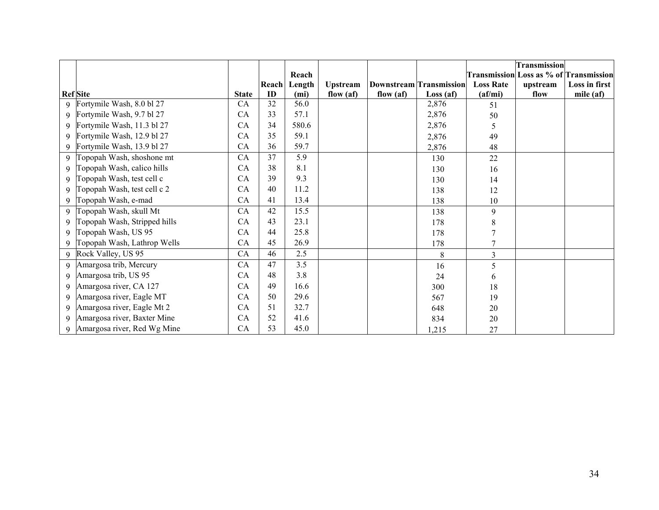|             |                              |              |       |                   |                 |                                |          |                               | <b>Transmission</b>                           |               |
|-------------|------------------------------|--------------|-------|-------------------|-----------------|--------------------------------|----------|-------------------------------|-----------------------------------------------|---------------|
|             |                              |              |       | Reach             |                 |                                |          |                               | <b>Transmission Loss as % of Transmission</b> |               |
|             |                              |              | Reach | Length            | <b>Upstream</b> | <b>Downstream Transmission</b> |          | <b>Loss Rate</b>              | upstream                                      | Loss in first |
|             | <b>Ref</b> Site              | <b>State</b> | ID    | (m <sub>i</sub> ) | flow $(af)$     | flow $(af)$                    | Loss(af) | $\left( \text{af/mi} \right)$ | flow                                          | mile (af)     |
| 9           | Fortymile Wash, 8.0 bl 27    | CA           | 32    | 56.0              |                 |                                | 2,876    | 51                            |                                               |               |
| 9           | Fortymile Wash, 9.7 bl 27    | CA           | 33    | 57.1              |                 |                                | 2,876    | 50                            |                                               |               |
| 9           | Fortymile Wash, 11.3 bl 27   | CA           | 34    | 580.6             |                 |                                | 2,876    | 5                             |                                               |               |
| 9           | Fortymile Wash, 12.9 bl 27   | CA           | 35    | 59.1              |                 |                                | 2,876    | 49                            |                                               |               |
| 9           | Fortymile Wash, 13.9 bl 27   | CA           | 36    | 59.7              |                 |                                | 2,876    | 48                            |                                               |               |
| $\mathbf Q$ | Topopah Wash, shoshone mt    | CA           | 37    | 5.9               |                 |                                | 130      | 22                            |                                               |               |
| 9           | Topopah Wash, calico hills   | CA           | 38    | 8.1               |                 |                                | 130      | 16                            |                                               |               |
| 9           | Topopah Wash, test cell c    | CA           | 39    | 9.3               |                 |                                | 130      | 14                            |                                               |               |
| 9           | Topopah Wash, test cell c 2  | CA           | 40    | 11.2              |                 |                                | 138      | 12                            |                                               |               |
| 9           | Topopah Wash, e-mad          | CA           | 41    | 13.4              |                 |                                | 138      | 10                            |                                               |               |
| 9           | Topopah Wash, skull Mt       | CA           | 42    | 15.5              |                 |                                | 138      | 9                             |                                               |               |
| $\mathbf Q$ | Topopah Wash, Stripped hills | CA           | 43    | 23.1              |                 |                                | 178      | 8                             |                                               |               |
| $\mathbf Q$ | Topopah Wash, US 95          | CA           | 44    | 25.8              |                 |                                | 178      |                               |                                               |               |
| 9           | Topopah Wash, Lathrop Wells  | CA           | 45    | 26.9              |                 |                                | 178      | 7                             |                                               |               |
| 9           | Rock Valley, US 95           | CA           | 46    | 2.5               |                 |                                | 8        | $\overline{3}$                |                                               |               |
| 9           | Amargosa trib, Mercury       | CA           | 47    | 3.5               |                 |                                | 16       | 5                             |                                               |               |
| $\mathbf Q$ | Amargosa trib, US 95         | CA           | 48    | 3.8               |                 |                                | 24       | 6                             |                                               |               |
| 9           | Amargosa river, CA 127       | CA           | 49    | 16.6              |                 |                                | 300      | 18                            |                                               |               |
| $\mathbf Q$ | Amargosa river, Eagle MT     | CA           | 50    | 29.6              |                 |                                | 567      | 19                            |                                               |               |
| 9           | Amargosa river, Eagle Mt 2   | CA           | 51    | 32.7              |                 |                                | 648      | 20                            |                                               |               |
| 9           | Amargosa river, Baxter Mine  | CA           | 52    | 41.6              |                 |                                | 834      | 20                            |                                               |               |
| 9           | Amargosa river, Red Wg Mine  | CA           | 53    | 45.0              |                 |                                | 1,215    | 27                            |                                               |               |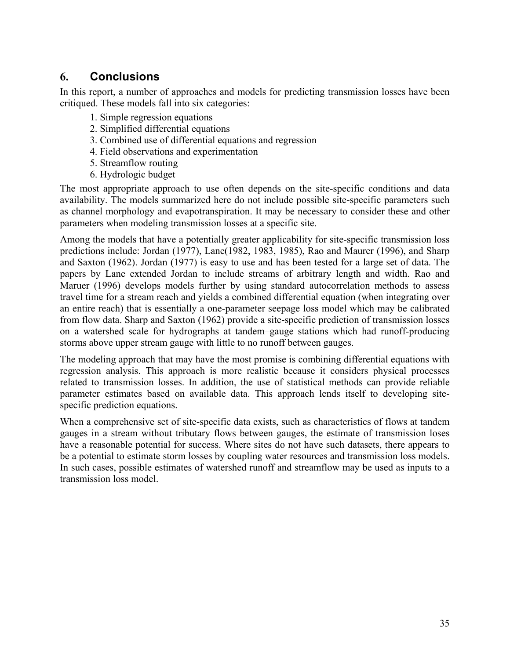# **6. Conclusions**

In this report, a number of approaches and models for predicting transmission losses have been critiqued. These models fall into six categories:

- 1. Simple regression equations
- 2. Simplified differential equations
- 3. Combined use of differential equations and regression
- 4. Field observations and experimentation
- 5. Streamflow routing
- 6. Hydrologic budget

The most appropriate approach to use often depends on the site-specific conditions and data availability. The models summarized here do not include possible site-specific parameters such as channel morphology and evapotranspiration. It may be necessary to consider these and other parameters when modeling transmission losses at a specific site.

Among the models that have a potentially greater applicability for site-specific transmission loss predictions include: Jordan (1977), Lane(1982, 1983, 1985), Rao and Maurer (1996), and Sharp and Saxton (1962). Jordan (1977) is easy to use and has been tested for a large set of data. The papers by Lane extended Jordan to include streams of arbitrary length and width. Rao and Maruer (1996) develops models further by using standard autocorrelation methods to assess travel time for a stream reach and yields a combined differential equation (when integrating over an entire reach) that is essentially a one-parameter seepage loss model which may be calibrated from flow data. Sharp and Saxton (1962) provide a site-specific prediction of transmission losses on a watershed scale for hydrographs at tandem–gauge stations which had runoff-producing storms above upper stream gauge with little to no runoff between gauges.

The modeling approach that may have the most promise is combining differential equations with regression analysis. This approach is more realistic because it considers physical processes related to transmission losses. In addition, the use of statistical methods can provide reliable parameter estimates based on available data. This approach lends itself to developing sitespecific prediction equations.

When a comprehensive set of site-specific data exists, such as characteristics of flows at tandem gauges in a stream without tributary flows between gauges, the estimate of transmission loses have a reasonable potential for success. Where sites do not have such datasets, there appears to be a potential to estimate storm losses by coupling water resources and transmission loss models. In such cases, possible estimates of watershed runoff and streamflow may be used as inputs to a transmission loss model.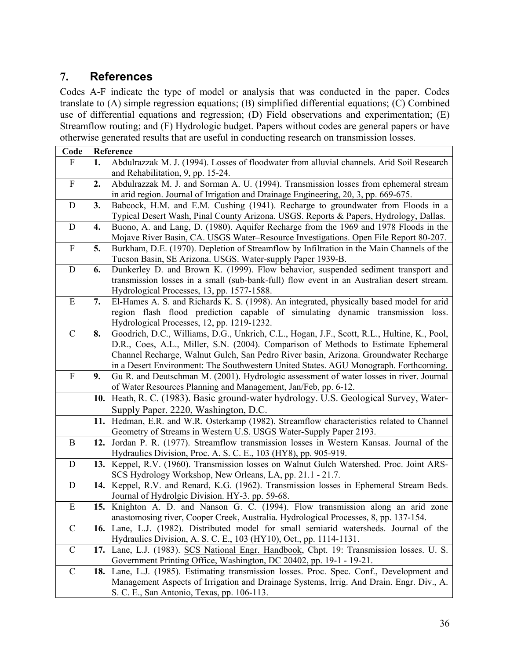# **7. References**

Codes A-F indicate the type of model or analysis that was conducted in the paper. Codes translate to (A) simple regression equations; (B) simplified differential equations; (C) Combined use of differential equations and regression; (D) Field observations and experimentation; (E) Streamflow routing; and (F) Hydrologic budget. Papers without codes are general papers or have otherwise generated results that are useful in conducting research on transmission losses.

| Code                      |     | Reference                                                                                                                                                                         |  |
|---------------------------|-----|-----------------------------------------------------------------------------------------------------------------------------------------------------------------------------------|--|
| ${\rm F}$                 | 1.  | Abdulrazzak M. J. (1994). Losses of floodwater from alluvial channels. Arid Soil Research                                                                                         |  |
|                           |     | and Rehabilitation, 9, pp. 15-24.                                                                                                                                                 |  |
| $\mathbf F$               | 2.  | Abdulrazzak M. J. and Sorman A. U. (1994). Transmission losses from ephemeral stream                                                                                              |  |
|                           |     | in arid region. Journal of Irrigation and Drainage Engineering, 20, 3, pp. 669-675.                                                                                               |  |
| D                         | 3.  | Babcock, H.M. and E.M. Cushing (1941). Recharge to groundwater from Floods in a                                                                                                   |  |
|                           |     | Typical Desert Wash, Pinal County Arizona. USGS. Reports & Papers, Hydrology, Dallas.                                                                                             |  |
| D                         | 4.  | Buono, A. and Lang, D. (1980). Aquifer Recharge from the 1969 and 1978 Floods in the                                                                                              |  |
|                           |     | Mojave River Basin, CA. USGS Water-Resource Investigations. Open File Report 80-207.                                                                                              |  |
| ${\bf F}$                 | 5.  | Burkham, D.E. (1970). Depletion of Streamflow by Infiltration in the Main Channels of the                                                                                         |  |
|                           |     | Tucson Basin, SE Arizona. USGS. Water-supply Paper 1939-B.                                                                                                                        |  |
| D                         | 6.  | Dunkerley D. and Brown K. (1999). Flow behavior, suspended sediment transport and                                                                                                 |  |
|                           |     | transmission losses in a small (sub-bank-full) flow event in an Australian desert stream.                                                                                         |  |
|                           |     | Hydrological Processes, 13, pp. 1577-1588.                                                                                                                                        |  |
| ${\bf E}$                 | 7.  | El-Hames A. S. and Richards K. S. (1998). An integrated, physically based model for arid                                                                                          |  |
|                           |     | region flash flood prediction capable of simulating dynamic transmission loss.                                                                                                    |  |
|                           |     | Hydrological Processes, 12, pp. 1219-1232.                                                                                                                                        |  |
| $\mathcal{C}$             | 8.  | Goodrich, D.C., Williams, D.G., Unkrich, C.L., Hogan, J.F., Scott, R.L., Hultine, K., Pool,<br>D.R., Coes, A.L., Miller, S.N. (2004). Comparison of Methods to Estimate Ephemeral |  |
|                           |     |                                                                                                                                                                                   |  |
|                           |     | Channel Recharge, Walnut Gulch, San Pedro River basin, Arizona. Groundwater Recharge<br>in a Desert Environment: The Southwestern United States. AGU Monograph. Forthcoming.      |  |
| $\boldsymbol{\mathrm{F}}$ | 9.  | Gu R. and Deutschman M. (2001). Hydrologic assessment of water losses in river. Journal                                                                                           |  |
|                           |     | of Water Resources Planning and Management, Jan/Feb, pp. 6-12.                                                                                                                    |  |
|                           |     | 10. Heath, R. C. (1983). Basic ground-water hydrology. U.S. Geological Survey, Water-                                                                                             |  |
|                           |     | Supply Paper. 2220, Washington, D.C.                                                                                                                                              |  |
|                           | 11. | Hedman, E.R. and W.R. Osterkamp (1982). Streamflow characteristics related to Channel                                                                                             |  |
|                           |     | Geometry of Streams in Western U.S. USGS Water-Supply Paper 2193.                                                                                                                 |  |
| B                         |     | 12. Jordan P. R. (1977). Streamflow transmission losses in Western Kansas. Journal of the                                                                                         |  |
|                           |     | Hydraulics Division, Proc. A. S. C. E., 103 (HY8), pp. 905-919.                                                                                                                   |  |
| D                         |     | 13. Keppel, R.V. (1960). Transmission losses on Walnut Gulch Watershed. Proc. Joint ARS-                                                                                          |  |
|                           |     | SCS Hydrology Workshop, New Orleans, LA, pp. 21.1 - 21.7.                                                                                                                         |  |
| D                         |     | 14. Keppel, R.V. and Renard, K.G. (1962). Transmission losses in Ephemeral Stream Beds.                                                                                           |  |
| E                         |     | Journal of Hydrolgic Division. HY-3. pp. 59-68.                                                                                                                                   |  |
|                           |     | 15. Knighton A. D. and Nanson G. C. (1994). Flow transmission along an arid zone<br>anastomosing river, Cooper Creek, Australia. Hydrological Processes, 8, pp. 137-154.          |  |
| $\mathcal{C}$             |     | 16. Lane, L.J. (1982). Distributed model for small semiarid watersheds. Journal of the                                                                                            |  |
|                           |     | Hydraulics Division, A. S. C. E., 103 (HY10), Oct., pp. 1114-1131.                                                                                                                |  |
| $\mathcal{C}$             |     | 17. Lane, L.J. (1983). SCS National Engr. Handbook, Chpt. 19: Transmission losses. U. S.                                                                                          |  |
|                           |     | Government Printing Office, Washington, DC 20402, pp. 19-1 - 19-21.                                                                                                               |  |
| $\mathcal{C}$             |     | 18. Lane, L.J. (1985). Estimating transmission losses. Proc. Spec. Conf., Development and                                                                                         |  |
|                           |     | Management Aspects of Irrigation and Drainage Systems, Irrig. And Drain. Engr. Div., A.                                                                                           |  |
|                           |     | S. C. E., San Antonio, Texas, pp. 106-113.                                                                                                                                        |  |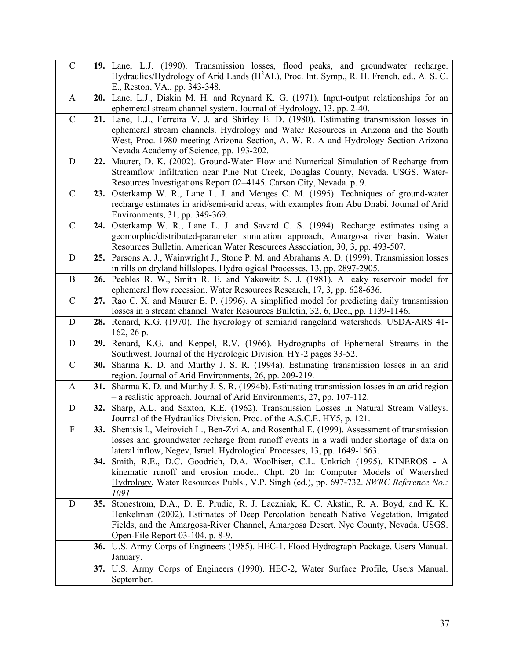| $\mathcal{C}$             |            | 19. Lane, L.J. (1990). Transmission losses, flood peaks, and groundwater recharge.<br>Hydraulics/Hydrology of Arid Lands (H <sup>2</sup> AL), Proc. Int. Symp., R. H. French, ed., A. S. C. |
|---------------------------|------------|---------------------------------------------------------------------------------------------------------------------------------------------------------------------------------------------|
|                           |            | E., Reston, VA., pp. 343-348.                                                                                                                                                               |
| A                         |            | 20. Lane, L.J., Diskin M. H. and Reynard K. G. (1971). Input-output relationships for an                                                                                                    |
|                           |            | ephemeral stream channel system. Journal of Hydrology, 13, pp. 2-40.                                                                                                                        |
| $\mathbf C$               |            | 21. Lane, L.J., Ferreira V. J. and Shirley E. D. (1980). Estimating transmission losses in                                                                                                  |
|                           |            | ephemeral stream channels. Hydrology and Water Resources in Arizona and the South                                                                                                           |
|                           |            | West, Proc. 1980 meeting Arizona Section, A. W. R. A and Hydrology Section Arizona                                                                                                          |
|                           |            | Nevada Academy of Science, pp. 193-202.                                                                                                                                                     |
| D                         | 22.        | Maurer, D. K. (2002). Ground-Water Flow and Numerical Simulation of Recharge from                                                                                                           |
|                           |            | Streamflow Infiltration near Pine Nut Creek, Douglas County, Nevada. USGS. Water-                                                                                                           |
|                           |            | Resources Investigations Report 02-4145. Carson City, Nevada. p. 9.                                                                                                                         |
| $\mathcal{C}$             | 23.        | Osterkamp W. R., Lane L. J. and Menges C. M. (1995). Techniques of ground-water                                                                                                             |
|                           |            | recharge estimates in arid/semi-arid areas, with examples from Abu Dhabi. Journal of Arid                                                                                                   |
|                           |            | Environments, 31, pp. 349-369.                                                                                                                                                              |
| $\mathbf C$               | 24.        | Osterkamp W. R., Lane L. J. and Savard C. S. (1994). Recharge estimates using a<br>geomorphic/distributed-parameter simulation approach, Amargosa river basin. Water                        |
|                           |            | Resources Bulletin, American Water Resources Association, 30, 3, pp. 493-507.                                                                                                               |
| $\mathbf D$               |            | 25. Parsons A. J., Wainwright J., Stone P. M. and Abrahams A. D. (1999). Transmission losses                                                                                                |
|                           |            | in rills on dryland hillslopes. Hydrological Processes, 13, pp. 2897-2905.                                                                                                                  |
| $\bf{B}$                  |            | 26. Peebles R. W., Smith R. E. and Yakowitz S. J. (1981). A leaky reservoir model for                                                                                                       |
|                           |            | ephemeral flow recession. Water Resources Research, 17, 3, pp. 628-636.                                                                                                                     |
| $\mathcal{C}$             |            | 27. Rao C. X. and Maurer E. P. (1996). A simplified model for predicting daily transmission                                                                                                 |
|                           |            | losses in a stream channel. Water Resources Bulletin, 32, 6, Dec., pp. 1139-1146.                                                                                                           |
| $\mathbf D$               |            | 28. Renard, K.G. (1970). The hydrology of semiarid rangeland watersheds. USDA-ARS 41-                                                                                                       |
|                           |            | 162, 26 p.                                                                                                                                                                                  |
| D                         | 29.        | Renard, K.G. and Keppel, R.V. (1966). Hydrographs of Ephemeral Streams in the                                                                                                               |
|                           |            | Southwest. Journal of the Hydrologic Division. HY-2 pages 33-52.                                                                                                                            |
| $\mathbf C$               | <b>30.</b> | Sharma K. D. and Murthy J. S. R. (1994a). Estimating transmission losses in an arid<br>region. Journal of Arid Environments, 26, pp. 209-219.                                               |
| A                         |            | 31. Sharma K. D. and Murthy J. S. R. (1994b). Estimating transmission losses in an arid region                                                                                              |
|                           |            | - a realistic approach. Journal of Arid Environments, 27, pp. 107-112.                                                                                                                      |
| D                         |            | 32. Sharp, A.L. and Saxton, K.E. (1962). Transmission Losses in Natural Stream Valleys.                                                                                                     |
|                           |            | Journal of the Hydraulics Division. Proc. of the A.S.C.E. HY5, p. 121.                                                                                                                      |
| $\boldsymbol{\mathrm{F}}$ | 33.        | Shentsis I., Meirovich L., Ben-Zvi A. and Rosenthal E. (1999). Assessment of transmission                                                                                                   |
|                           |            | losses and groundwater recharge from runoff events in a wadi under shortage of data on                                                                                                      |
|                           |            | lateral inflow, Negev, Israel. Hydrological Processes, 13, pp. 1649-1663.                                                                                                                   |
|                           |            | 34. Smith, R.E., D.C. Goodrich, D.A. Woolhiser, C.L. Unkrich (1995). KINEROS - A                                                                                                            |
|                           |            | kinematic runoff and erosion model. Chpt. 20 In: Computer Models of Watershed                                                                                                               |
|                           |            | Hydrology, Water Resources Publs., V.P. Singh (ed.), pp. 697-732. SWRC Reference No.:                                                                                                       |
| D                         |            | 1091<br>Stonestrom, D.A., D. E. Prudic, R. J. Laczniak, K. C. Akstin, R. A. Boyd, and K. K.                                                                                                 |
|                           | 35.        | Henkelman (2002). Estimates of Deep Percolation beneath Native Vegetation, Irrigated                                                                                                        |
|                           |            | Fields, and the Amargosa-River Channel, Amargosa Desert, Nye County, Nevada. USGS.                                                                                                          |
|                           |            | Open-File Report 03-104. p. 8-9.                                                                                                                                                            |
|                           |            | 36. U.S. Army Corps of Engineers (1985). HEC-1, Flood Hydrograph Package, Users Manual.                                                                                                     |
|                           |            | January.                                                                                                                                                                                    |
|                           |            | 37. U.S. Army Corps of Engineers (1990). HEC-2, Water Surface Profile, Users Manual.                                                                                                        |
|                           |            | September.                                                                                                                                                                                  |